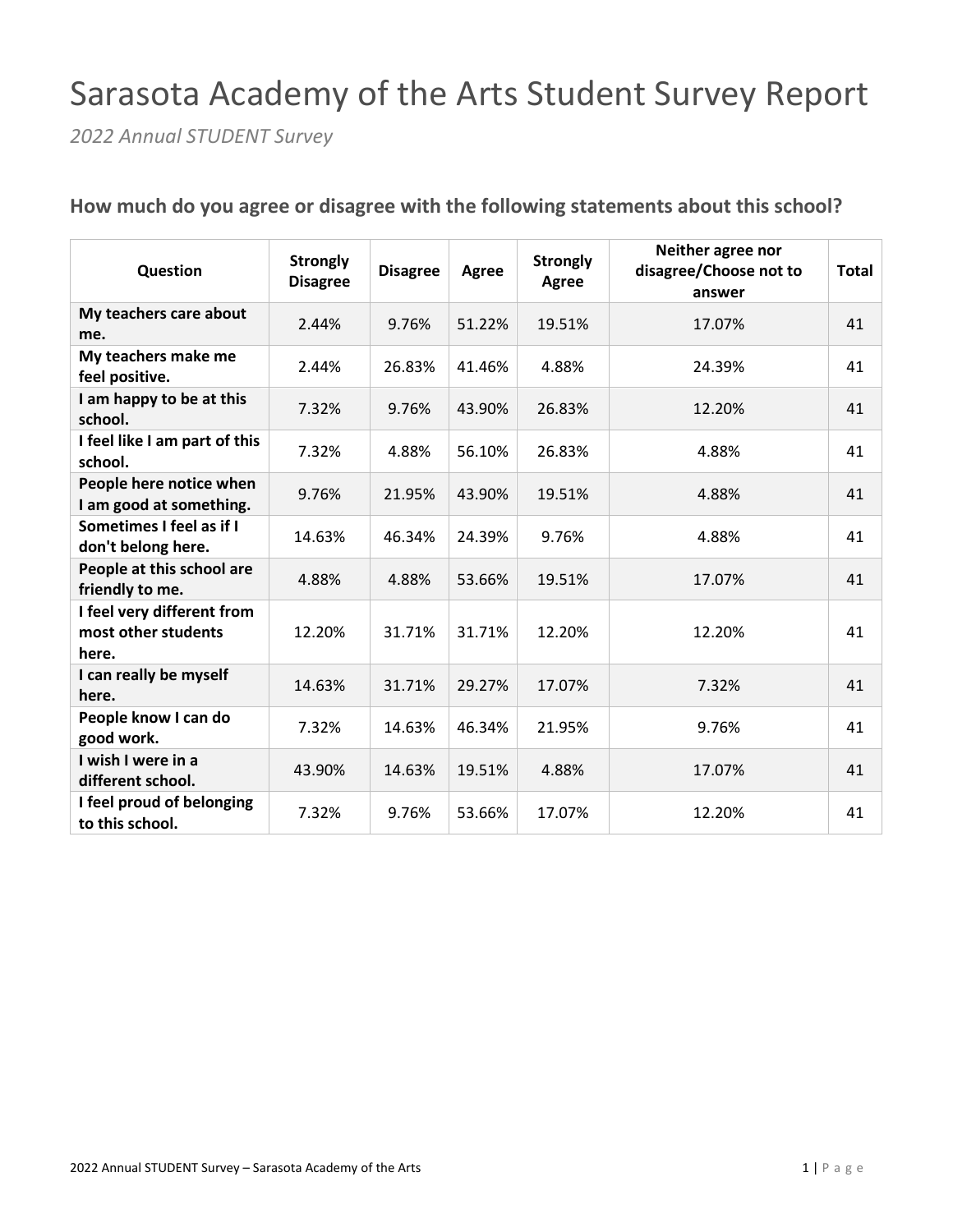## Sarasota Academy of the Arts Student Survey Report

*2022 Annual STUDENT Survey*

| Question                                                   | <b>Strongly</b><br><b>Disagree</b> | <b>Disagree</b> | Agree  | <b>Strongly</b><br>Agree | Neither agree nor<br>disagree/Choose not to<br>answer | <b>Total</b> |
|------------------------------------------------------------|------------------------------------|-----------------|--------|--------------------------|-------------------------------------------------------|--------------|
| My teachers care about<br>me.                              | 2.44%                              | 9.76%           | 51.22% | 19.51%                   | 17.07%                                                | 41           |
| My teachers make me<br>feel positive.                      | 2.44%                              | 26.83%          | 41.46% | 4.88%                    | 24.39%                                                | 41           |
| I am happy to be at this<br>school.                        | 7.32%                              | 9.76%           | 43.90% | 26.83%                   | 12.20%                                                | 41           |
| I feel like I am part of this<br>school.                   | 7.32%                              | 4.88%           | 56.10% | 26.83%                   | 4.88%                                                 | 41           |
| People here notice when<br>I am good at something.         | 9.76%                              | 21.95%          | 43.90% | 19.51%                   | 4.88%                                                 | 41           |
| Sometimes I feel as if I<br>don't belong here.             | 14.63%                             | 46.34%          | 24.39% | 9.76%                    | 4.88%                                                 | 41           |
| People at this school are<br>friendly to me.               | 4.88%                              | 4.88%           | 53.66% | 19.51%                   | 17.07%                                                | 41           |
| I feel very different from<br>most other students<br>here. | 12.20%                             | 31.71%          | 31.71% | 12.20%                   | 12.20%                                                | 41           |
| I can really be myself<br>here.                            | 14.63%                             | 31.71%          | 29.27% | 17.07%                   | 7.32%                                                 | 41           |
| People know I can do<br>good work.                         | 7.32%                              | 14.63%          | 46.34% | 21.95%                   | 9.76%                                                 | 41           |
| I wish I were in a<br>different school.                    | 43.90%                             | 14.63%          | 19.51% | 4.88%                    | 17.07%                                                | 41           |
| I feel proud of belonging<br>to this school.               | 7.32%                              | 9.76%           | 53.66% | 17.07%                   | 12.20%                                                | 41           |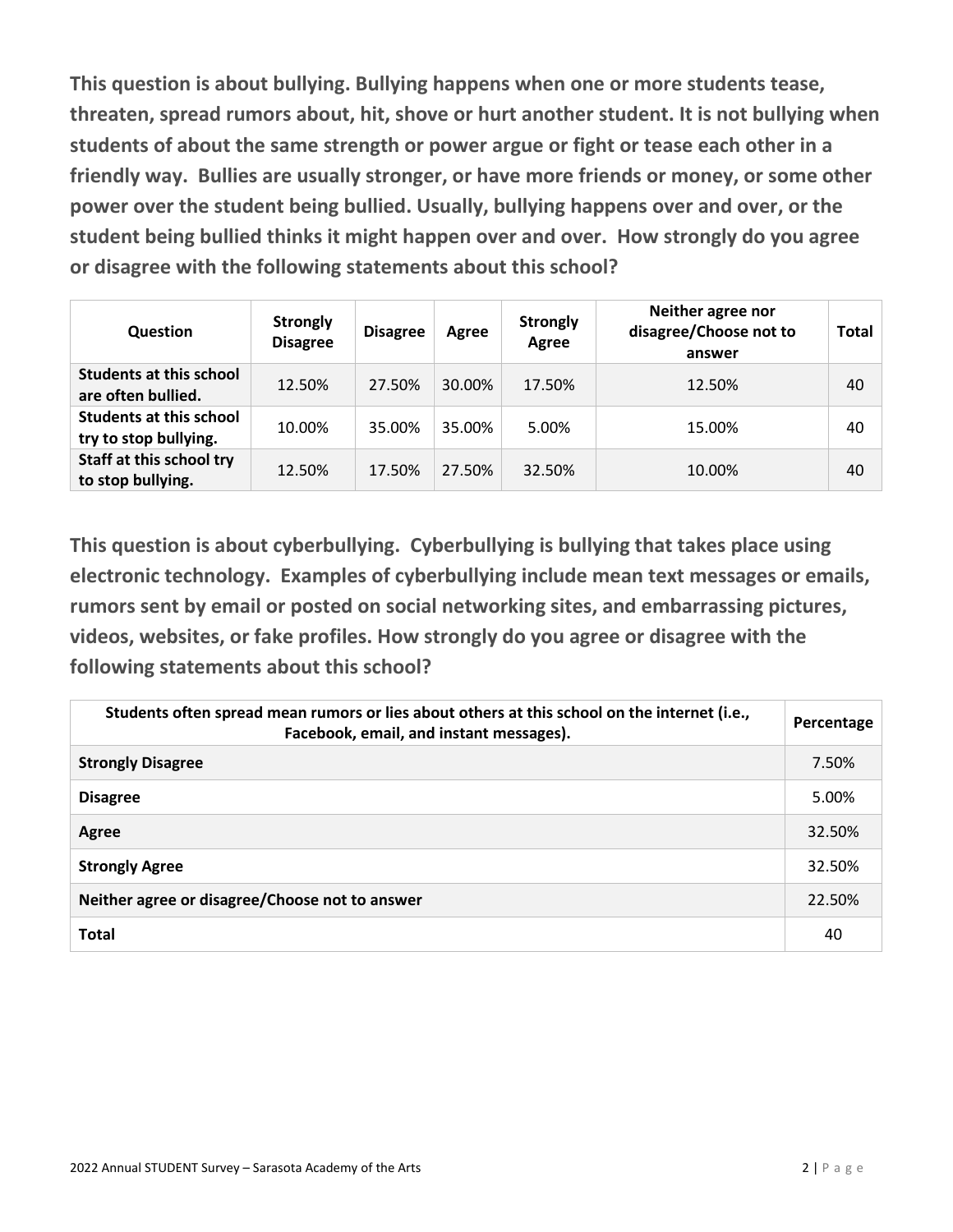**This question is about bullying. Bullying happens when one or more students tease, threaten, spread rumors about, hit, shove or hurt another student. It is not bullying when students of about the same strength or power argue or fight or tease each other in a friendly way. Bullies are usually stronger, or have more friends or money, or some other power over the student being bullied. Usually, bullying happens over and over, or the student being bullied thinks it might happen over and over. How strongly do you agree or disagree with the following statements about this school?** 

| Question                                                | <b>Strongly</b><br><b>Disagree</b> | <b>Disagree</b> | Agree  | <b>Strongly</b><br>Agree | Neither agree nor<br>disagree/Choose not to<br>answer | <b>Total</b> |
|---------------------------------------------------------|------------------------------------|-----------------|--------|--------------------------|-------------------------------------------------------|--------------|
| <b>Students at this school</b><br>are often bullied.    | 12.50%                             | 27.50%          | 30.00% | 17.50%                   | 12.50%                                                | 40           |
| <b>Students at this school</b><br>try to stop bullying. | 10.00%                             | 35.00%          | 35.00% | 5.00%                    | 15.00%                                                | 40           |
| Staff at this school try<br>to stop bullying.           | 12.50%                             | 17.50%          | 27.50% | 32.50%                   | 10.00%                                                | 40           |

**This question is about cyberbullying. Cyberbullying is bullying that takes place using electronic technology. Examples of cyberbullying include mean text messages or emails, rumors sent by email or posted on social networking sites, and embarrassing pictures, videos, websites, or fake profiles. How strongly do you agree or disagree with the following statements about this school?** 

| Students often spread mean rumors or lies about others at this school on the internet (i.e.,<br>Facebook, email, and instant messages). | Percentage |
|-----------------------------------------------------------------------------------------------------------------------------------------|------------|
| <b>Strongly Disagree</b>                                                                                                                | 7.50%      |
| <b>Disagree</b>                                                                                                                         | 5.00%      |
| Agree                                                                                                                                   | 32.50%     |
| <b>Strongly Agree</b>                                                                                                                   | 32.50%     |
| Neither agree or disagree/Choose not to answer                                                                                          | 22.50%     |
| <b>Total</b>                                                                                                                            | 40         |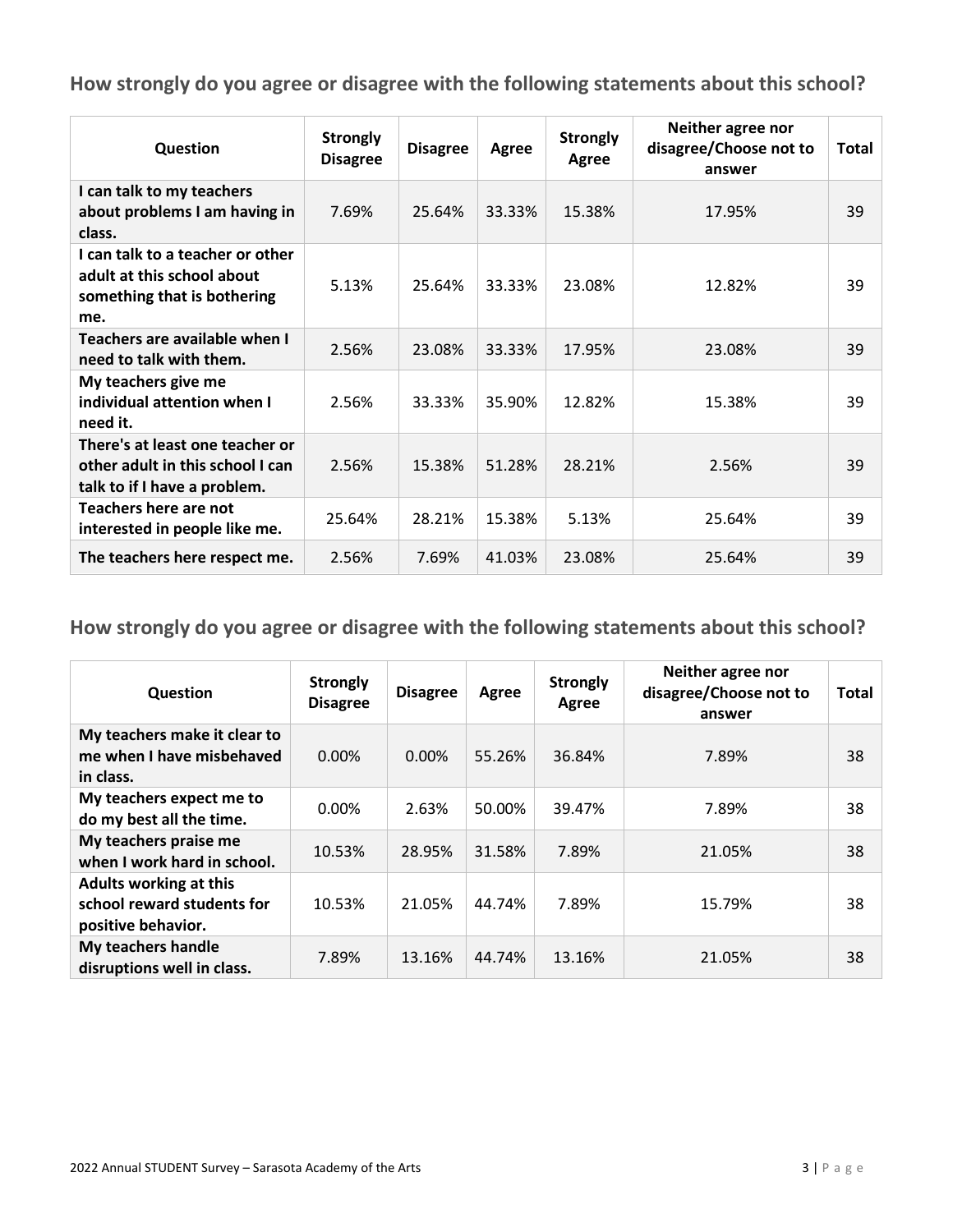| Question                                                                                             | <b>Strongly</b><br><b>Disagree</b> | <b>Disagree</b> | Agree  | <b>Strongly</b><br>Agree | Neither agree nor<br>disagree/Choose not to<br>answer | Total |
|------------------------------------------------------------------------------------------------------|------------------------------------|-----------------|--------|--------------------------|-------------------------------------------------------|-------|
| I can talk to my teachers<br>about problems I am having in<br>class.                                 | 7.69%                              | 25.64%          | 33.33% | 15.38%                   | 17.95%                                                | 39    |
| I can talk to a teacher or other<br>adult at this school about<br>something that is bothering<br>me. | 5.13%                              | 25.64%          | 33.33% | 23.08%                   | 12.82%                                                | 39    |
| Teachers are available when I<br>need to talk with them.                                             | 2.56%                              | 23.08%          | 33.33% | 17.95%                   | 23.08%                                                | 39    |
| My teachers give me<br>individual attention when I<br>need it.                                       | 2.56%                              | 33.33%          | 35.90% | 12.82%                   | 15.38%                                                | 39    |
| There's at least one teacher or<br>other adult in this school I can<br>talk to if I have a problem.  | 2.56%                              | 15.38%          | 51.28% | 28.21%                   | 2.56%                                                 | 39    |
| Teachers here are not<br>interested in people like me.                                               | 25.64%                             | 28.21%          | 15.38% | 5.13%                    | 25.64%                                                | 39    |
| The teachers here respect me.                                                                        | 2.56%                              | 7.69%           | 41.03% | 23.08%                   | 25.64%                                                | 39    |

| Question                                                                          | <b>Strongly</b><br><b>Disagree</b> | <b>Disagree</b> | Agree  | <b>Strongly</b><br>Agree | Neither agree nor<br>disagree/Choose not to<br>answer | <b>Total</b> |
|-----------------------------------------------------------------------------------|------------------------------------|-----------------|--------|--------------------------|-------------------------------------------------------|--------------|
| My teachers make it clear to<br>me when I have misbehaved<br>in class.            | $0.00\%$                           | $0.00\%$        | 55.26% | 36.84%                   | 7.89%                                                 | 38           |
| My teachers expect me to<br>do my best all the time.                              | $0.00\%$                           | 2.63%           | 50.00% | 39.47%                   | 7.89%                                                 | 38           |
| My teachers praise me<br>when I work hard in school.                              | 10.53%                             | 28.95%          | 31.58% | 7.89%                    | 21.05%                                                | 38           |
| <b>Adults working at this</b><br>school reward students for<br>positive behavior. | 10.53%                             | 21.05%          | 44.74% | 7.89%                    | 15.79%                                                | 38           |
| My teachers handle<br>disruptions well in class.                                  | 7.89%                              | 13.16%          | 44.74% | 13.16%                   | 21.05%                                                | 38           |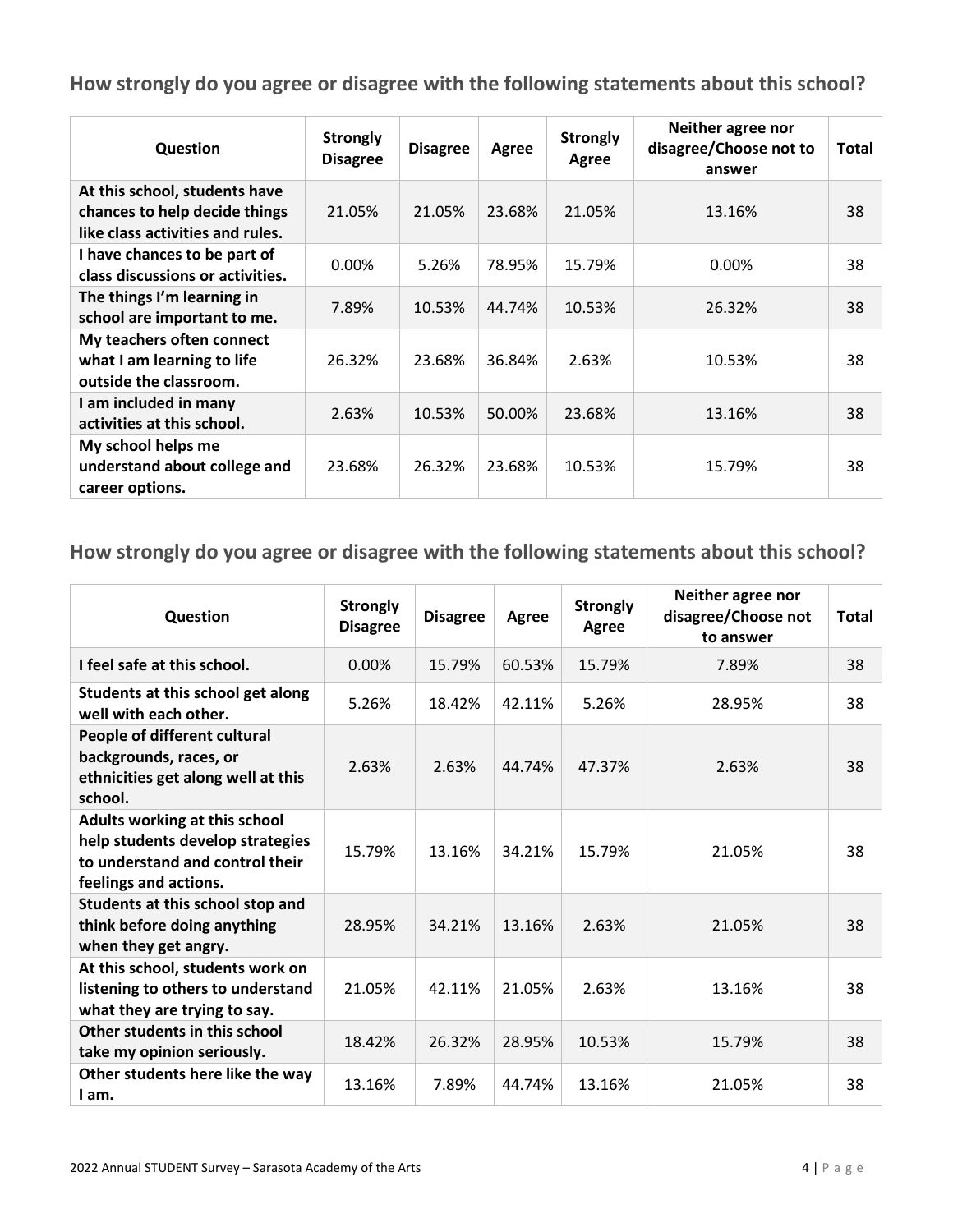| Question                                                                                           | <b>Strongly</b><br><b>Disagree</b> | <b>Disagree</b> | Agree  | <b>Strongly</b><br>Agree | Neither agree nor<br>disagree/Choose not to<br>answer | Total |
|----------------------------------------------------------------------------------------------------|------------------------------------|-----------------|--------|--------------------------|-------------------------------------------------------|-------|
| At this school, students have<br>chances to help decide things<br>like class activities and rules. | 21.05%                             | 21.05%          | 23.68% | 21.05%                   | 13.16%                                                | 38    |
| I have chances to be part of<br>class discussions or activities.                                   | $0.00\%$                           | 5.26%           | 78.95% | 15.79%                   | 0.00%                                                 | 38    |
| The things I'm learning in<br>school are important to me.                                          | 7.89%                              | 10.53%          | 44.74% | 10.53%                   | 26.32%                                                | 38    |
| My teachers often connect<br>what I am learning to life<br>outside the classroom.                  | 26.32%                             | 23.68%          | 36.84% | 2.63%                    | 10.53%                                                | 38    |
| I am included in many<br>activities at this school.                                                | 2.63%                              | 10.53%          | 50.00% | 23.68%                   | 13.16%                                                | 38    |
| My school helps me<br>understand about college and<br>career options.                              | 23.68%                             | 26.32%          | 23.68% | 10.53%                   | 15.79%                                                | 38    |

| Question                                                                                                                      | <b>Strongly</b><br><b>Disagree</b> | <b>Disagree</b> | Agree  | <b>Strongly</b><br>Agree | Neither agree nor<br>disagree/Choose not<br>to answer | Total |
|-------------------------------------------------------------------------------------------------------------------------------|------------------------------------|-----------------|--------|--------------------------|-------------------------------------------------------|-------|
| I feel safe at this school.                                                                                                   | 0.00%                              | 15.79%          | 60.53% | 15.79%                   | 7.89%                                                 | 38    |
| Students at this school get along<br>well with each other.                                                                    | 5.26%                              | 18.42%          | 42.11% | 5.26%                    | 28.95%                                                | 38    |
| People of different cultural<br>backgrounds, races, or<br>ethnicities get along well at this<br>school.                       | 2.63%                              | 2.63%           | 44.74% | 47.37%                   | 2.63%                                                 | 38    |
| Adults working at this school<br>help students develop strategies<br>to understand and control their<br>feelings and actions. | 15.79%                             | 13.16%          | 34.21% | 15.79%                   | 21.05%                                                | 38    |
| Students at this school stop and<br>think before doing anything<br>when they get angry.                                       | 28.95%                             | 34.21%          | 13.16% | 2.63%                    | 21.05%                                                | 38    |
| At this school, students work on<br>listening to others to understand<br>what they are trying to say.                         | 21.05%                             | 42.11%          | 21.05% | 2.63%                    | 13.16%                                                | 38    |
| Other students in this school<br>take my opinion seriously.                                                                   | 18.42%                             | 26.32%          | 28.95% | 10.53%                   | 15.79%                                                | 38    |
| Other students here like the way<br>I am.                                                                                     | 13.16%                             | 7.89%           | 44.74% | 13.16%                   | 21.05%                                                | 38    |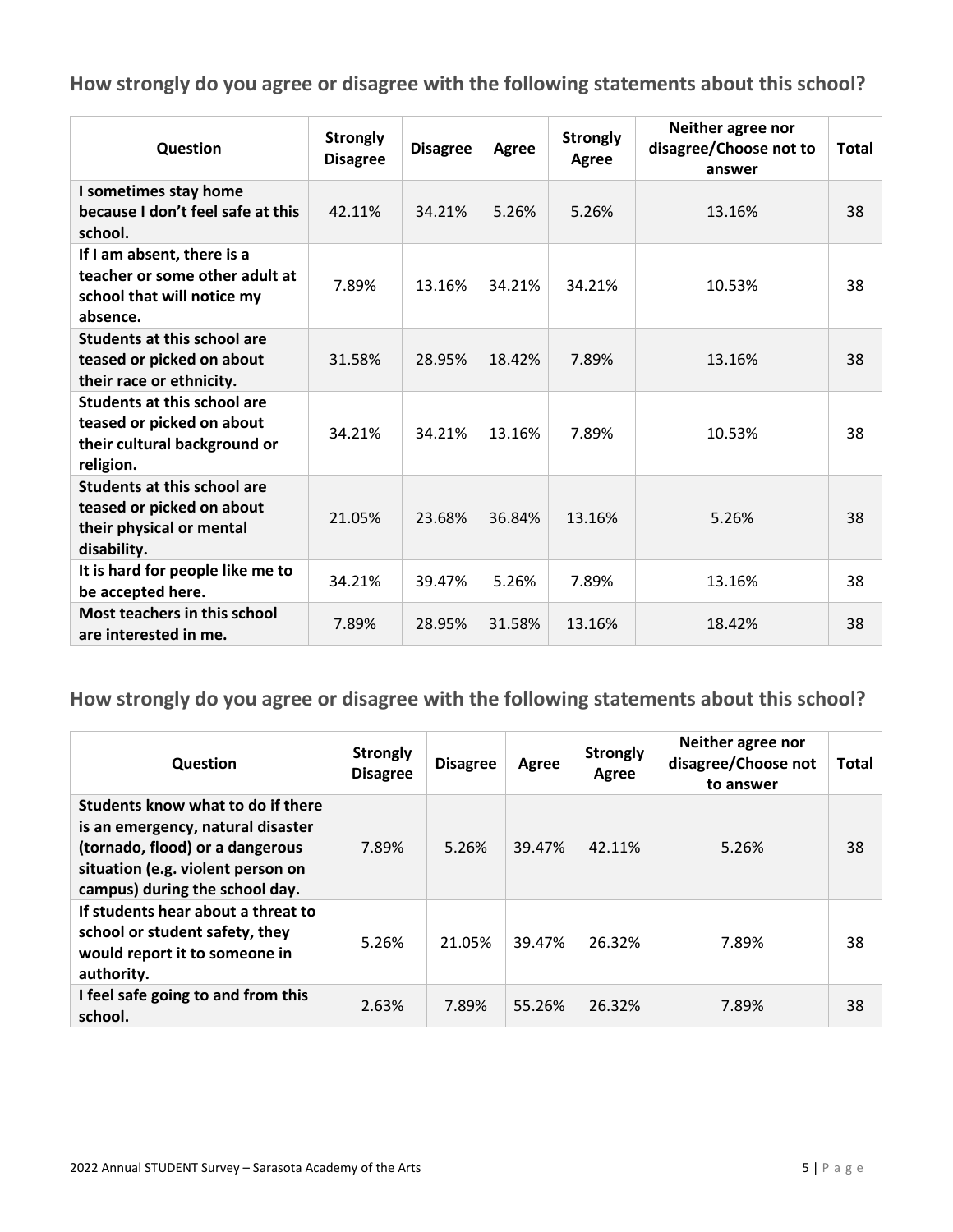| Question                                                                                                     | <b>Strongly</b><br><b>Disagree</b> | <b>Disagree</b> | Agree  | <b>Strongly</b><br>Agree | Neither agree nor<br>disagree/Choose not to<br>answer | <b>Total</b> |
|--------------------------------------------------------------------------------------------------------------|------------------------------------|-----------------|--------|--------------------------|-------------------------------------------------------|--------------|
| I sometimes stay home<br>because I don't feel safe at this<br>school.                                        | 42.11%                             | 34.21%          | 5.26%  | 5.26%                    | 13.16%                                                | 38           |
| If I am absent, there is a<br>teacher or some other adult at<br>school that will notice my<br>absence.       | 7.89%                              | 13.16%          | 34.21% | 34.21%                   | 10.53%                                                | 38           |
| Students at this school are<br>teased or picked on about<br>their race or ethnicity.                         | 31.58%                             | 28.95%          | 18.42% | 7.89%                    | 13.16%                                                | 38           |
| <b>Students at this school are</b><br>teased or picked on about<br>their cultural background or<br>religion. | 34.21%                             | 34.21%          | 13.16% | 7.89%                    | 10.53%                                                | 38           |
| <b>Students at this school are</b><br>teased or picked on about<br>their physical or mental<br>disability.   | 21.05%                             | 23.68%          | 36.84% | 13.16%                   | 5.26%                                                 | 38           |
| It is hard for people like me to<br>be accepted here.                                                        | 34.21%                             | 39.47%          | 5.26%  | 7.89%                    | 13.16%                                                | 38           |
| <b>Most teachers in this school</b><br>are interested in me.                                                 | 7.89%                              | 28.95%          | 31.58% | 13.16%                   | 18.42%                                                | 38           |

| Question                                                                                                                                                                         | <b>Strongly</b><br><b>Disagree</b> | <b>Disagree</b> | Agree  | <b>Strongly</b><br>Agree | Neither agree nor<br>disagree/Choose not<br>to answer | <b>Total</b> |
|----------------------------------------------------------------------------------------------------------------------------------------------------------------------------------|------------------------------------|-----------------|--------|--------------------------|-------------------------------------------------------|--------------|
| Students know what to do if there<br>is an emergency, natural disaster<br>(tornado, flood) or a dangerous<br>situation (e.g. violent person on<br>campus) during the school day. | 7.89%                              | 5.26%           | 39.47% | 42.11%                   | 5.26%                                                 | 38           |
| If students hear about a threat to<br>school or student safety, they<br>would report it to someone in<br>authority.                                                              | 5.26%                              | 21.05%          | 39.47% | 26.32%                   | 7.89%                                                 | 38           |
| I feel safe going to and from this<br>school.                                                                                                                                    | 2.63%                              | 7.89%           | 55.26% | 26.32%                   | 7.89%                                                 | 38           |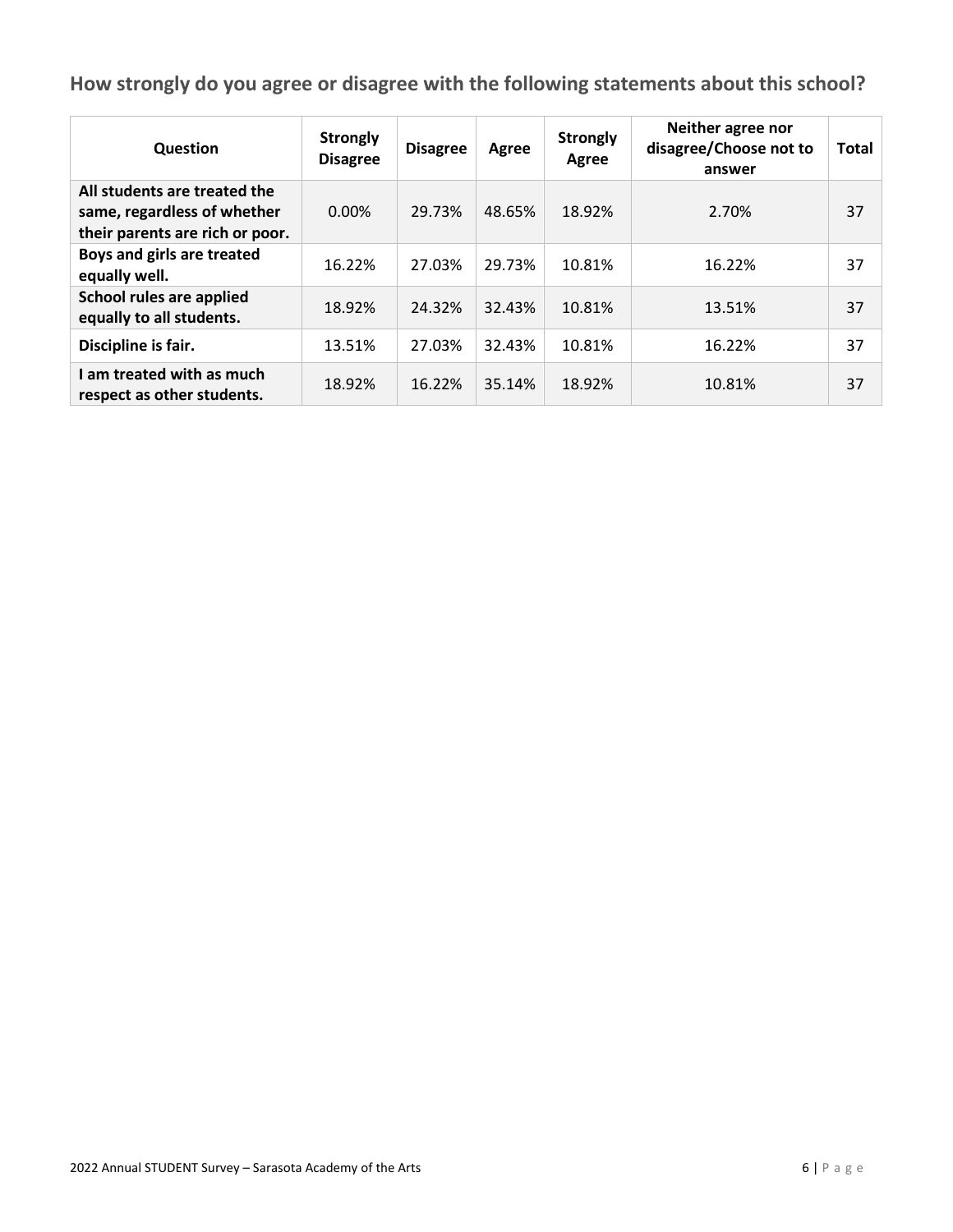| Question                                                                                       | <b>Strongly</b><br><b>Disagree</b> | <b>Disagree</b> | Agree  | <b>Strongly</b><br>Agree | Neither agree nor<br>disagree/Choose not to<br>answer | Total |
|------------------------------------------------------------------------------------------------|------------------------------------|-----------------|--------|--------------------------|-------------------------------------------------------|-------|
| All students are treated the<br>same, regardless of whether<br>their parents are rich or poor. | $0.00\%$                           | 29.73%          | 48.65% | 18.92%                   | 2.70%                                                 | 37    |
| Boys and girls are treated<br>equally well.                                                    | 16.22%                             | 27.03%          | 29.73% | 10.81%                   | 16.22%                                                | 37    |
| School rules are applied<br>equally to all students.                                           | 18.92%                             | 24.32%          | 32.43% | 10.81%                   | 13.51%                                                | 37    |
| Discipline is fair.                                                                            | 13.51%                             | 27.03%          | 32.43% | 10.81%                   | 16.22%                                                | 37    |
| I am treated with as much<br>respect as other students.                                        | 18.92%                             | 16.22%          | 35.14% | 18.92%                   | 10.81%                                                | 37    |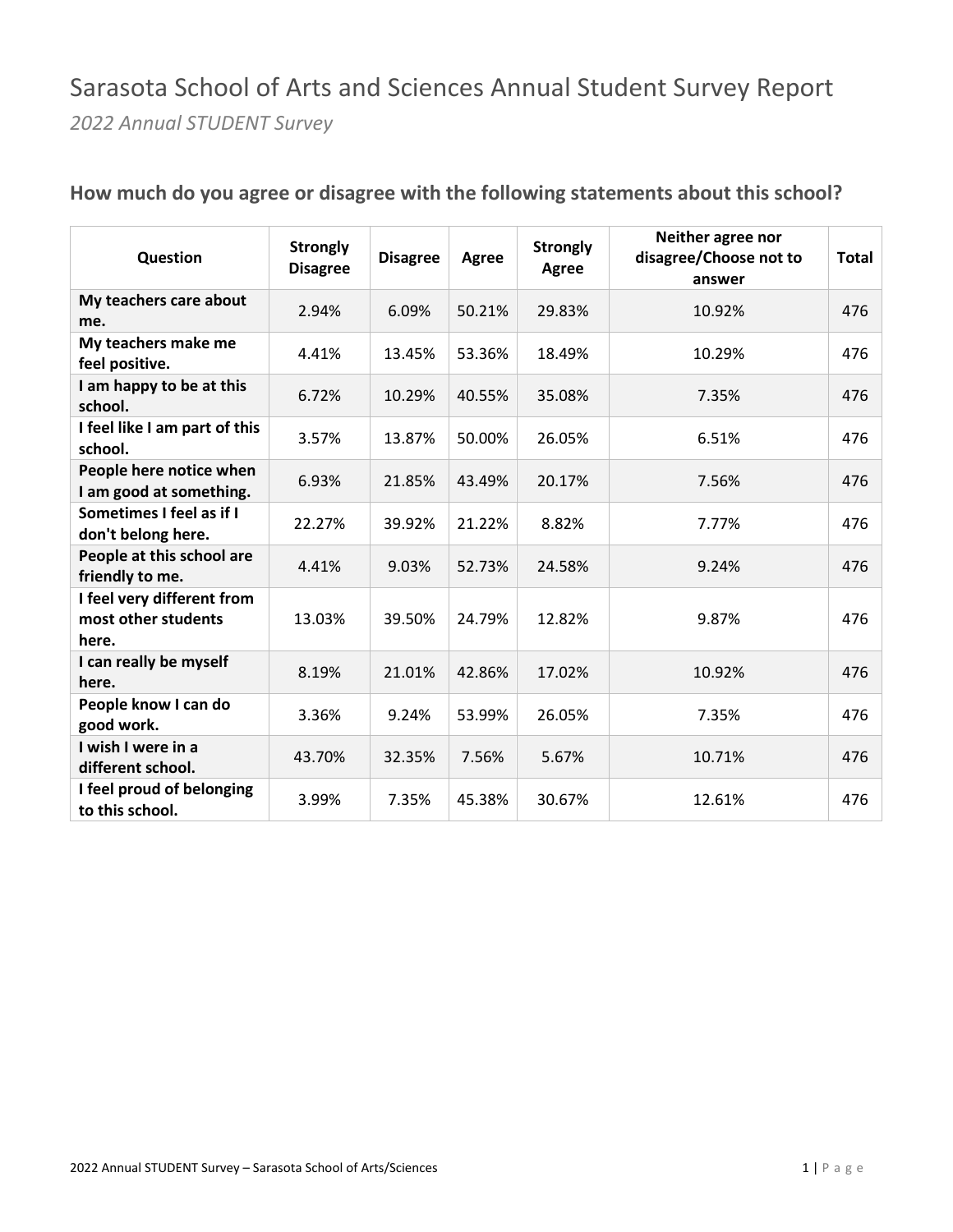#### Sarasota School of Arts and Sciences Annual Student Survey Report *2022 Annual STUDENT Survey*

| Question                                                   | <b>Strongly</b><br><b>Disagree</b> | <b>Disagree</b> | Agree  | <b>Strongly</b><br>Agree | Neither agree nor<br>disagree/Choose not to<br>answer | Total |
|------------------------------------------------------------|------------------------------------|-----------------|--------|--------------------------|-------------------------------------------------------|-------|
| My teachers care about<br>me.                              | 2.94%                              | 6.09%           | 50.21% | 29.83%                   | 10.92%                                                | 476   |
| My teachers make me<br>feel positive.                      | 4.41%                              | 13.45%          | 53.36% | 18.49%                   | 10.29%                                                | 476   |
| I am happy to be at this<br>school.                        | 6.72%                              | 10.29%          | 40.55% | 35.08%                   | 7.35%                                                 | 476   |
| I feel like I am part of this<br>school.                   | 3.57%                              | 13.87%          | 50.00% | 26.05%                   | 6.51%                                                 | 476   |
| People here notice when<br>I am good at something.         | 6.93%                              | 21.85%          | 43.49% | 20.17%                   | 7.56%                                                 | 476   |
| Sometimes I feel as if I<br>don't belong here.             | 22.27%                             | 39.92%          | 21.22% | 8.82%                    | 7.77%                                                 | 476   |
| People at this school are<br>friendly to me.               | 4.41%                              | 9.03%           | 52.73% | 24.58%                   | 9.24%                                                 | 476   |
| I feel very different from<br>most other students<br>here. | 13.03%                             | 39.50%          | 24.79% | 12.82%                   | 9.87%                                                 | 476   |
| I can really be myself<br>here.                            | 8.19%                              | 21.01%          | 42.86% | 17.02%                   | 10.92%                                                | 476   |
| People know I can do<br>good work.                         | 3.36%                              | 9.24%           | 53.99% | 26.05%                   | 7.35%                                                 | 476   |
| I wish I were in a<br>different school.                    | 43.70%                             | 32.35%          | 7.56%  | 5.67%                    | 10.71%                                                | 476   |
| I feel proud of belonging<br>to this school.               | 3.99%                              | 7.35%           | 45.38% | 30.67%                   | 12.61%                                                | 476   |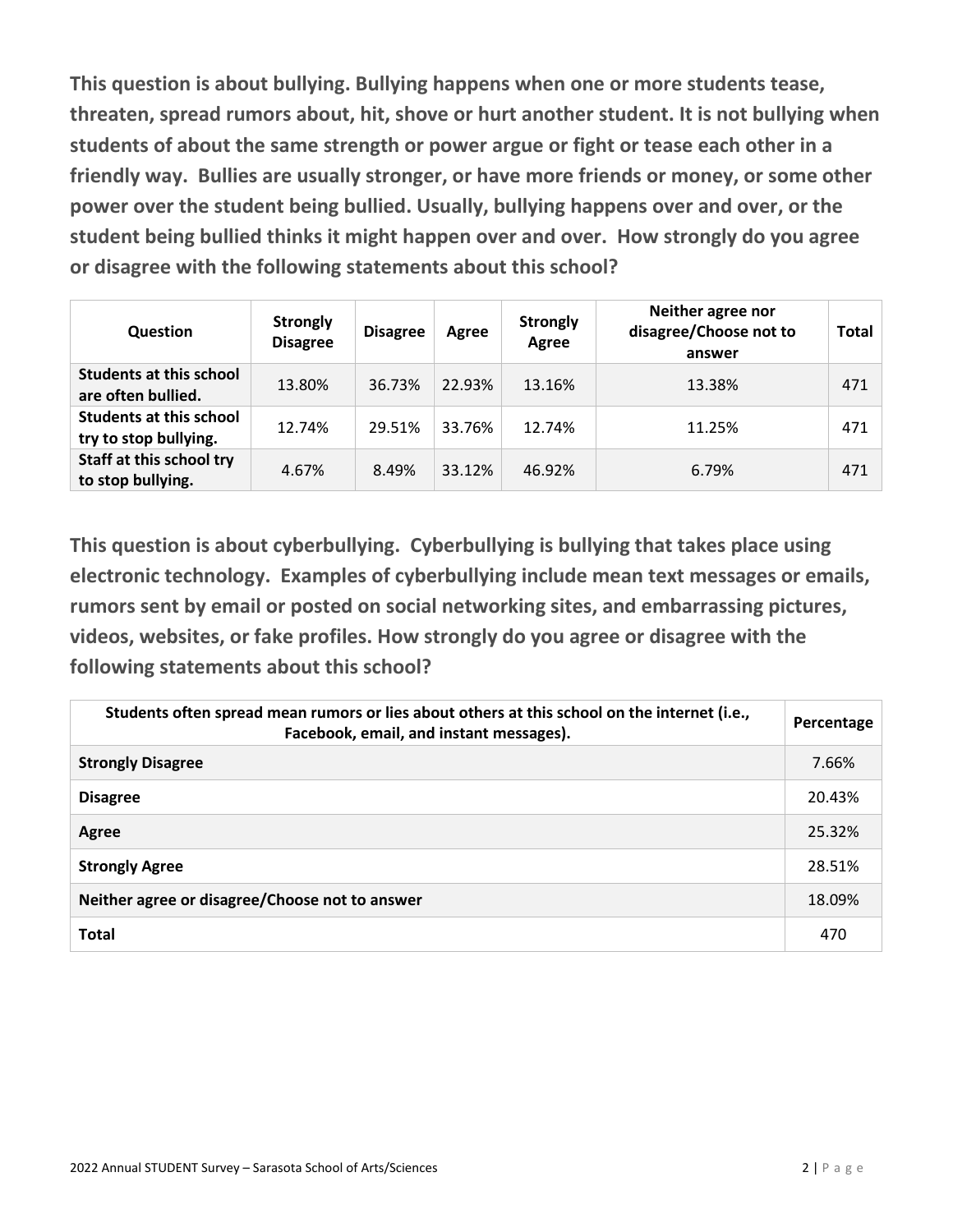**This question is about bullying. Bullying happens when one or more students tease, threaten, spread rumors about, hit, shove or hurt another student. It is not bullying when students of about the same strength or power argue or fight or tease each other in a friendly way. Bullies are usually stronger, or have more friends or money, or some other power over the student being bullied. Usually, bullying happens over and over, or the student being bullied thinks it might happen over and over. How strongly do you agree or disagree with the following statements about this school?** 

| Question                                                | <b>Strongly</b><br><b>Disagree</b> | <b>Disagree</b> | Agree  | <b>Strongly</b><br>Agree | Neither agree nor<br>disagree/Choose not to<br>answer | <b>Total</b> |
|---------------------------------------------------------|------------------------------------|-----------------|--------|--------------------------|-------------------------------------------------------|--------------|
| <b>Students at this school</b><br>are often bullied.    | 13.80%                             | 36.73%          | 22.93% | 13.16%                   | 13.38%                                                | 471          |
| <b>Students at this school</b><br>try to stop bullying. | 12.74%                             | 29.51%          | 33.76% | 12.74%                   | 11.25%                                                | 471          |
| Staff at this school try<br>to stop bullying.           | 4.67%                              | 8.49%           | 33.12% | 46.92%                   | 6.79%                                                 | 471          |

**This question is about cyberbullying. Cyberbullying is bullying that takes place using electronic technology. Examples of cyberbullying include mean text messages or emails, rumors sent by email or posted on social networking sites, and embarrassing pictures, videos, websites, or fake profiles. How strongly do you agree or disagree with the following statements about this school?** 

| Students often spread mean rumors or lies about others at this school on the internet (i.e.,<br>Facebook, email, and instant messages). | Percentage |
|-----------------------------------------------------------------------------------------------------------------------------------------|------------|
| <b>Strongly Disagree</b>                                                                                                                | 7.66%      |
| <b>Disagree</b>                                                                                                                         | 20.43%     |
| Agree                                                                                                                                   | 25.32%     |
| <b>Strongly Agree</b>                                                                                                                   | 28.51%     |
| Neither agree or disagree/Choose not to answer                                                                                          | 18.09%     |
| <b>Total</b>                                                                                                                            | 470        |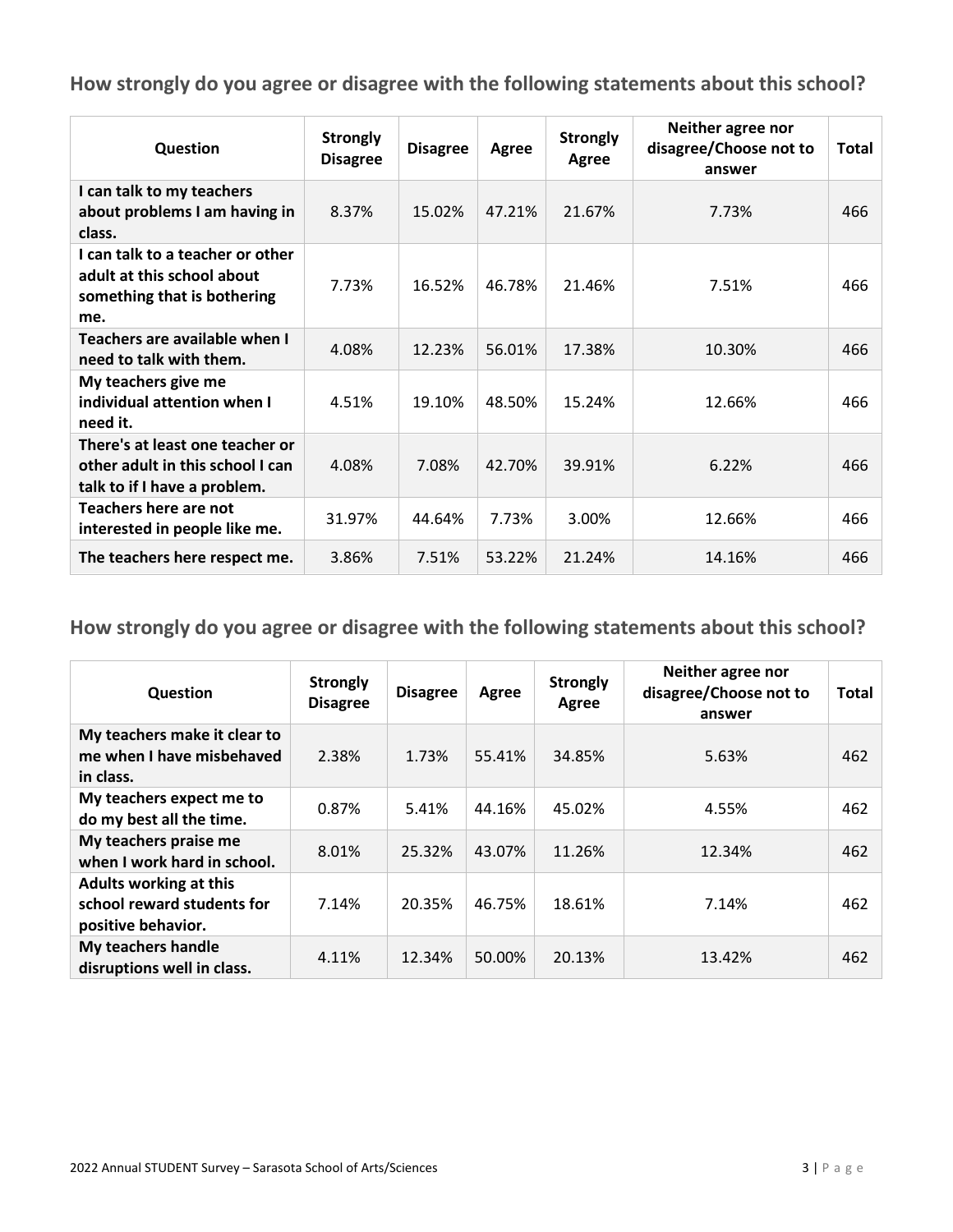| <b>Question</b>                                                                                      | <b>Strongly</b><br><b>Disagree</b> | <b>Disagree</b> | <b>Agree</b> | <b>Strongly</b><br>Agree | Neither agree nor<br>disagree/Choose not to<br>answer | Total |
|------------------------------------------------------------------------------------------------------|------------------------------------|-----------------|--------------|--------------------------|-------------------------------------------------------|-------|
| I can talk to my teachers<br>about problems I am having in<br>class.                                 | 8.37%                              | 15.02%          | 47.21%       | 21.67%                   | 7.73%                                                 | 466   |
| I can talk to a teacher or other<br>adult at this school about<br>something that is bothering<br>me. | 7.73%                              | 16.52%          | 46.78%       | 21.46%                   | 7.51%                                                 | 466   |
| Teachers are available when I<br>need to talk with them.                                             | 4.08%                              | 12.23%          | 56.01%       | 17.38%                   | 10.30%                                                | 466   |
| My teachers give me<br>individual attention when I<br>need it.                                       | 4.51%                              | 19.10%          | 48.50%       | 15.24%                   | 12.66%                                                | 466   |
| There's at least one teacher or<br>other adult in this school I can<br>talk to if I have a problem.  | 4.08%                              | 7.08%           | 42.70%       | 39.91%                   | 6.22%                                                 | 466   |
| Teachers here are not<br>interested in people like me.                                               | 31.97%                             | 44.64%          | 7.73%        | 3.00%                    | 12.66%                                                | 466   |
| The teachers here respect me.                                                                        | 3.86%                              | 7.51%           | 53.22%       | 21.24%                   | 14.16%                                                | 466   |

| Question                                                                          | <b>Strongly</b><br><b>Disagree</b> | <b>Disagree</b> | Agree  | <b>Strongly</b><br>Agree | Neither agree nor<br>disagree/Choose not to<br>answer | <b>Total</b> |
|-----------------------------------------------------------------------------------|------------------------------------|-----------------|--------|--------------------------|-------------------------------------------------------|--------------|
| My teachers make it clear to<br>me when I have misbehaved<br>in class.            | 2.38%                              | 1.73%           | 55.41% | 34.85%                   | 5.63%                                                 | 462          |
| My teachers expect me to<br>do my best all the time.                              | 0.87%                              | 5.41%           | 44.16% | 45.02%                   | 4.55%                                                 | 462          |
| My teachers praise me<br>when I work hard in school.                              | 8.01%                              | 25.32%          | 43.07% | 11.26%                   | 12.34%                                                | 462          |
| <b>Adults working at this</b><br>school reward students for<br>positive behavior. | 7.14%                              | 20.35%          | 46.75% | 18.61%                   | 7.14%                                                 | 462          |
| My teachers handle<br>disruptions well in class.                                  | 4.11%                              | 12.34%          | 50.00% | 20.13%                   | 13.42%                                                | 462          |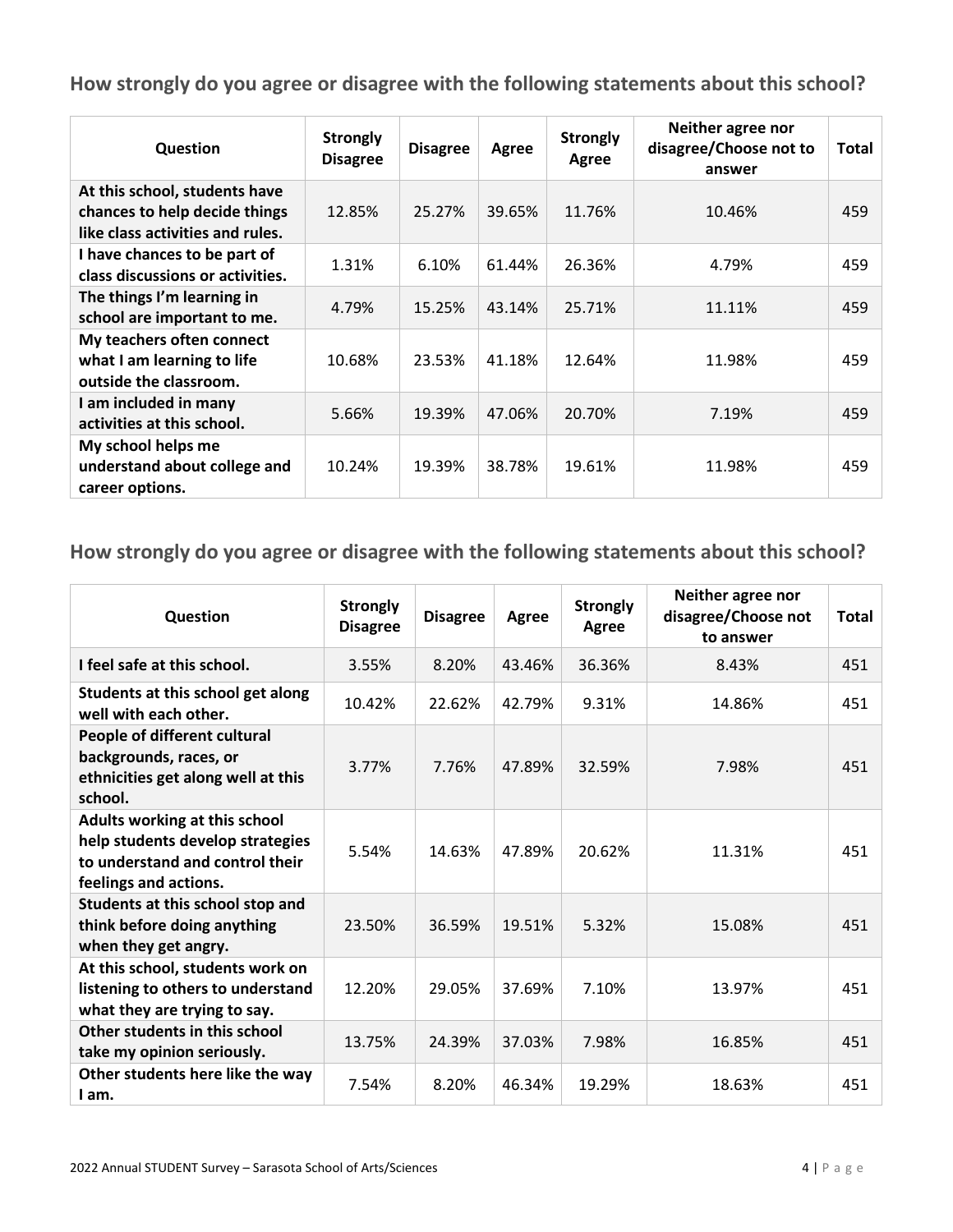| Question                                                                                           | <b>Strongly</b><br><b>Disagree</b> | <b>Disagree</b> | Agree  | <b>Strongly</b><br>Agree | Neither agree nor<br>disagree/Choose not to<br>answer | <b>Total</b> |
|----------------------------------------------------------------------------------------------------|------------------------------------|-----------------|--------|--------------------------|-------------------------------------------------------|--------------|
| At this school, students have<br>chances to help decide things<br>like class activities and rules. | 12.85%                             | 25.27%          | 39.65% | 11.76%                   | 10.46%                                                | 459          |
| I have chances to be part of<br>class discussions or activities.                                   | 1.31%                              | 6.10%           | 61.44% | 26.36%                   | 4.79%                                                 | 459          |
| The things I'm learning in<br>school are important to me.                                          | 4.79%                              | 15.25%          | 43.14% | 25.71%                   | 11.11%                                                | 459          |
| My teachers often connect<br>what I am learning to life<br>outside the classroom.                  | 10.68%                             | 23.53%          | 41.18% | 12.64%                   | 11.98%                                                | 459          |
| I am included in many<br>activities at this school.                                                | 5.66%                              | 19.39%          | 47.06% | 20.70%                   | 7.19%                                                 | 459          |
| My school helps me<br>understand about college and<br>career options.                              | 10.24%                             | 19.39%          | 38.78% | 19.61%                   | 11.98%                                                | 459          |

| Question                                                                                                                      | <b>Strongly</b><br><b>Disagree</b> | <b>Disagree</b> | Agree  | <b>Strongly</b><br>Agree | Neither agree nor<br>disagree/Choose not<br>to answer | Total |
|-------------------------------------------------------------------------------------------------------------------------------|------------------------------------|-----------------|--------|--------------------------|-------------------------------------------------------|-------|
| I feel safe at this school.                                                                                                   | 3.55%                              | 8.20%           | 43.46% | 36.36%                   | 8.43%                                                 | 451   |
| Students at this school get along<br>well with each other.                                                                    | 10.42%                             | 22.62%          | 42.79% | 9.31%                    | 14.86%                                                | 451   |
| People of different cultural<br>backgrounds, races, or<br>ethnicities get along well at this<br>school.                       | 3.77%                              | 7.76%           | 47.89% | 32.59%                   | 7.98%                                                 | 451   |
| Adults working at this school<br>help students develop strategies<br>to understand and control their<br>feelings and actions. | 5.54%                              | 14.63%          | 47.89% | 20.62%                   | 11.31%                                                | 451   |
| Students at this school stop and<br>think before doing anything<br>when they get angry.                                       | 23.50%                             | 36.59%          | 19.51% | 5.32%                    | 15.08%                                                | 451   |
| At this school, students work on<br>listening to others to understand<br>what they are trying to say.                         | 12.20%                             | 29.05%          | 37.69% | 7.10%                    | 13.97%                                                | 451   |
| Other students in this school<br>take my opinion seriously.                                                                   | 13.75%                             | 24.39%          | 37.03% | 7.98%                    | 16.85%                                                | 451   |
| Other students here like the way<br>I am.                                                                                     | 7.54%                              | 8.20%           | 46.34% | 19.29%                   | 18.63%                                                | 451   |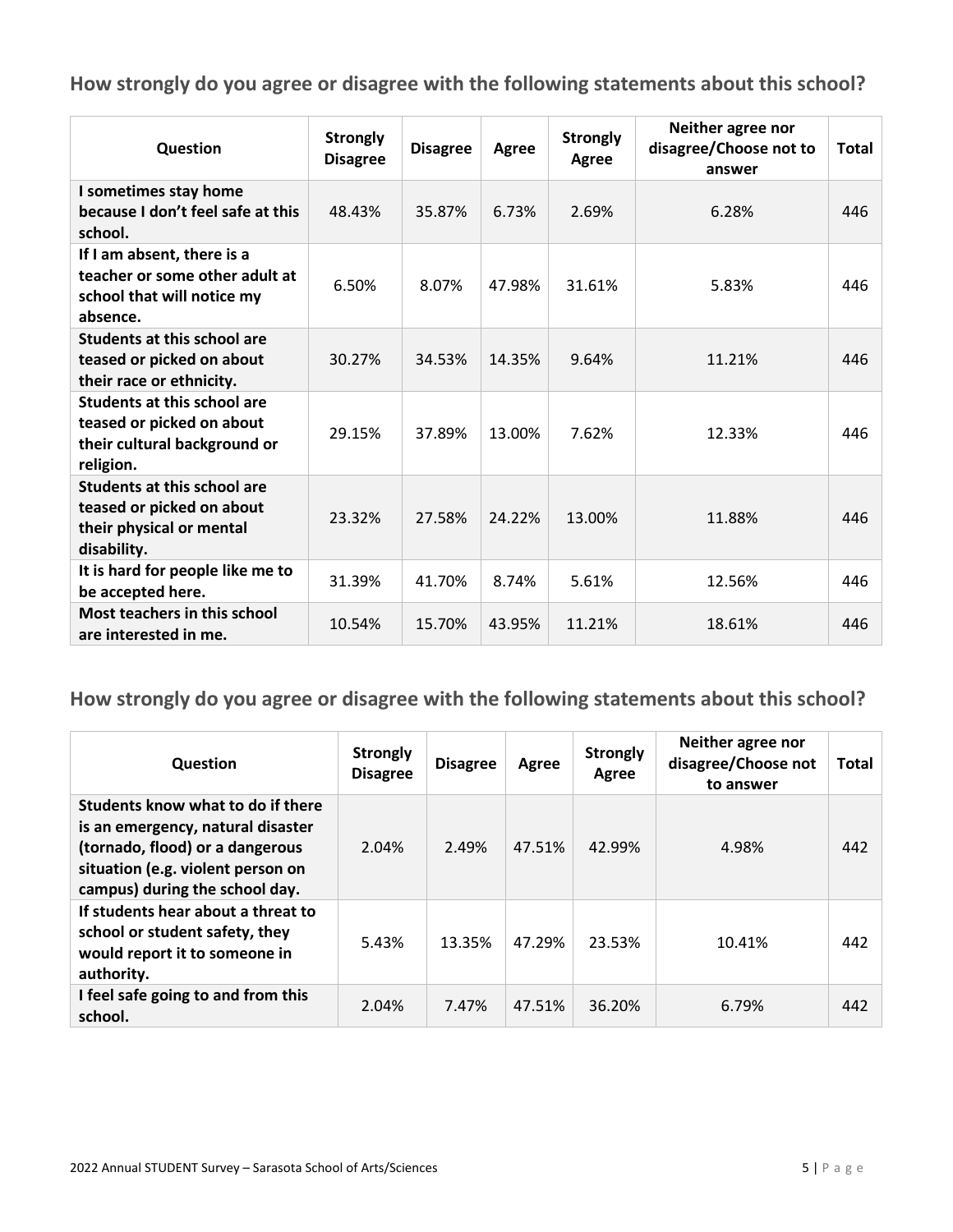| Question                                                                                                     | <b>Strongly</b><br><b>Disagree</b> | <b>Disagree</b> | Agree  | <b>Strongly</b><br>Agree | Neither agree nor<br>disagree/Choose not to<br>answer | <b>Total</b> |
|--------------------------------------------------------------------------------------------------------------|------------------------------------|-----------------|--------|--------------------------|-------------------------------------------------------|--------------|
| I sometimes stay home<br>because I don't feel safe at this<br>school.                                        | 48.43%                             | 35.87%          | 6.73%  | 2.69%                    | 6.28%                                                 | 446          |
| If I am absent, there is a<br>teacher or some other adult at<br>school that will notice my<br>absence.       | 6.50%                              | 8.07%           | 47.98% | 31.61%                   | 5.83%                                                 | 446          |
| Students at this school are<br>teased or picked on about<br>their race or ethnicity.                         | 30.27%                             | 34.53%          | 14.35% | 9.64%                    | 11.21%                                                | 446          |
| <b>Students at this school are</b><br>teased or picked on about<br>their cultural background or<br>religion. | 29.15%                             | 37.89%          | 13.00% | 7.62%                    | 12.33%                                                | 446          |
| <b>Students at this school are</b><br>teased or picked on about<br>their physical or mental<br>disability.   | 23.32%                             | 27.58%          | 24.22% | 13.00%                   | 11.88%                                                | 446          |
| It is hard for people like me to<br>be accepted here.                                                        | 31.39%                             | 41.70%          | 8.74%  | 5.61%                    | 12.56%                                                | 446          |
| <b>Most teachers in this school</b><br>are interested in me.                                                 | 10.54%                             | 15.70%          | 43.95% | 11.21%                   | 18.61%                                                | 446          |

| Question                                                                                                                                                                         | <b>Strongly</b><br><b>Disagree</b> | <b>Disagree</b> | Agree  | <b>Strongly</b><br>Agree | Neither agree nor<br>disagree/Choose not<br>to answer | <b>Total</b> |
|----------------------------------------------------------------------------------------------------------------------------------------------------------------------------------|------------------------------------|-----------------|--------|--------------------------|-------------------------------------------------------|--------------|
| Students know what to do if there<br>is an emergency, natural disaster<br>(tornado, flood) or a dangerous<br>situation (e.g. violent person on<br>campus) during the school day. | 2.04%                              | 2.49%           | 47.51% | 42.99%                   | 4.98%                                                 | 442          |
| If students hear about a threat to<br>school or student safety, they<br>would report it to someone in<br>authority.                                                              | 5.43%                              | 13.35%          | 47.29% | 23.53%                   | 10.41%                                                | 442          |
| I feel safe going to and from this<br>school.                                                                                                                                    | 2.04%                              | 7.47%           | 47.51% | 36.20%                   | 6.79%                                                 | 442          |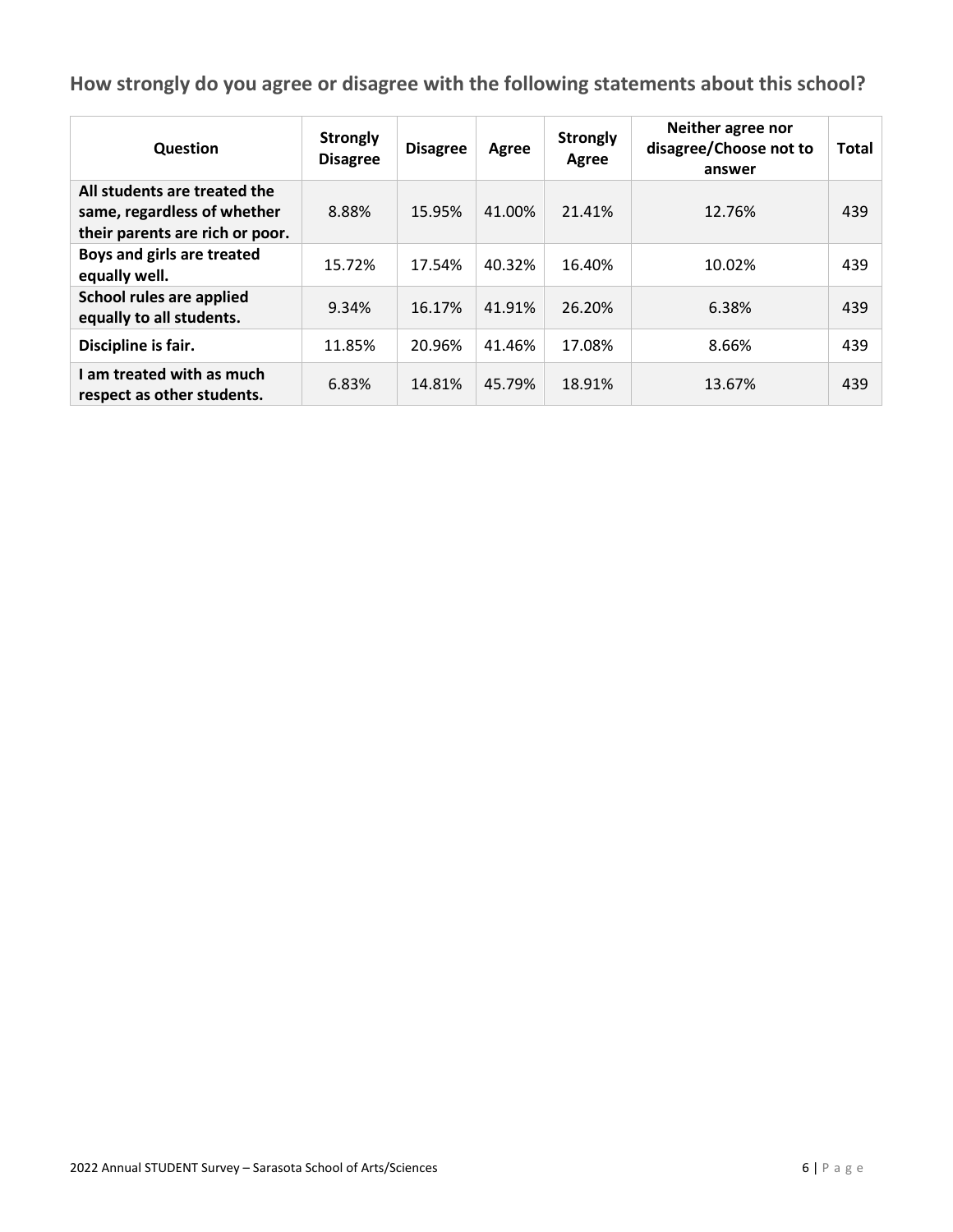| Question                                                                                       | <b>Strongly</b><br><b>Disagree</b> | <b>Disagree</b> | Agree  | <b>Strongly</b><br>Agree | Neither agree nor<br>disagree/Choose not to<br>answer | <b>Total</b> |
|------------------------------------------------------------------------------------------------|------------------------------------|-----------------|--------|--------------------------|-------------------------------------------------------|--------------|
| All students are treated the<br>same, regardless of whether<br>their parents are rich or poor. | 8.88%                              | 15.95%          | 41.00% | 21.41%                   | 12.76%                                                | 439          |
| Boys and girls are treated<br>equally well.                                                    | 15.72%                             | 17.54%          | 40.32% | 16.40%                   | 10.02%                                                | 439          |
| School rules are applied<br>equally to all students.                                           | 9.34%                              | 16.17%          | 41.91% | 26.20%                   | 6.38%                                                 | 439          |
| Discipline is fair.                                                                            | 11.85%                             | 20.96%          | 41.46% | 17.08%                   | 8.66%                                                 | 439          |
| I am treated with as much<br>respect as other students.                                        | 6.83%                              | 14.81%          | 45.79% | 18.91%                   | 13.67%                                                | 439          |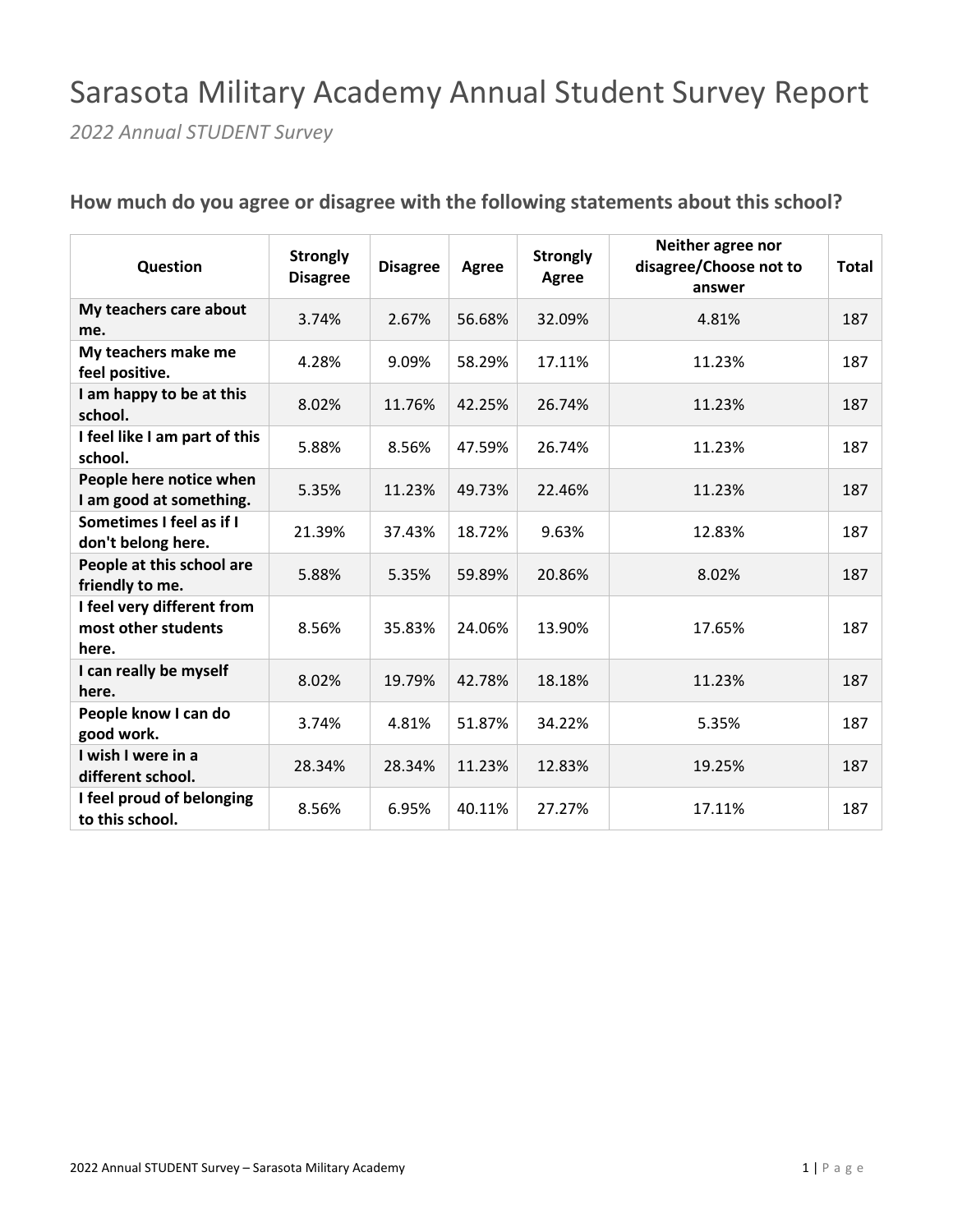## Sarasota Military Academy Annual Student Survey Report

*2022 Annual STUDENT Survey*

| Question                                                   | <b>Strongly</b><br><b>Disagree</b> | <b>Disagree</b> | <b>Agree</b> | <b>Strongly</b><br>Agree | Neither agree nor<br>disagree/Choose not to<br>answer | <b>Total</b> |
|------------------------------------------------------------|------------------------------------|-----------------|--------------|--------------------------|-------------------------------------------------------|--------------|
| My teachers care about<br>me.                              | 3.74%                              | 2.67%           | 56.68%       | 32.09%                   | 4.81%                                                 | 187          |
| My teachers make me<br>feel positive.                      | 4.28%                              | 9.09%           | 58.29%       | 17.11%                   | 11.23%                                                | 187          |
| I am happy to be at this<br>school.                        | 8.02%                              | 11.76%          | 42.25%       | 26.74%                   | 11.23%                                                | 187          |
| I feel like I am part of this<br>school.                   | 5.88%                              | 8.56%           | 47.59%       | 26.74%                   | 11.23%                                                | 187          |
| People here notice when<br>I am good at something.         | 5.35%                              | 11.23%          | 49.73%       | 22.46%                   | 11.23%                                                | 187          |
| Sometimes I feel as if I<br>don't belong here.             | 21.39%                             | 37.43%          | 18.72%       | 9.63%                    | 12.83%                                                | 187          |
| People at this school are<br>friendly to me.               | 5.88%                              | 5.35%           | 59.89%       | 20.86%                   | 8.02%                                                 | 187          |
| I feel very different from<br>most other students<br>here. | 8.56%                              | 35.83%          | 24.06%       | 13.90%                   | 17.65%                                                | 187          |
| I can really be myself<br>here.                            | 8.02%                              | 19.79%          | 42.78%       | 18.18%                   | 11.23%                                                | 187          |
| People know I can do<br>good work.                         | 3.74%                              | 4.81%           | 51.87%       | 34.22%                   | 5.35%                                                 | 187          |
| I wish I were in a<br>different school.                    | 28.34%                             | 28.34%          | 11.23%       | 12.83%                   | 19.25%                                                | 187          |
| I feel proud of belonging<br>to this school.               | 8.56%                              | 6.95%           | 40.11%       | 27.27%                   | 17.11%                                                | 187          |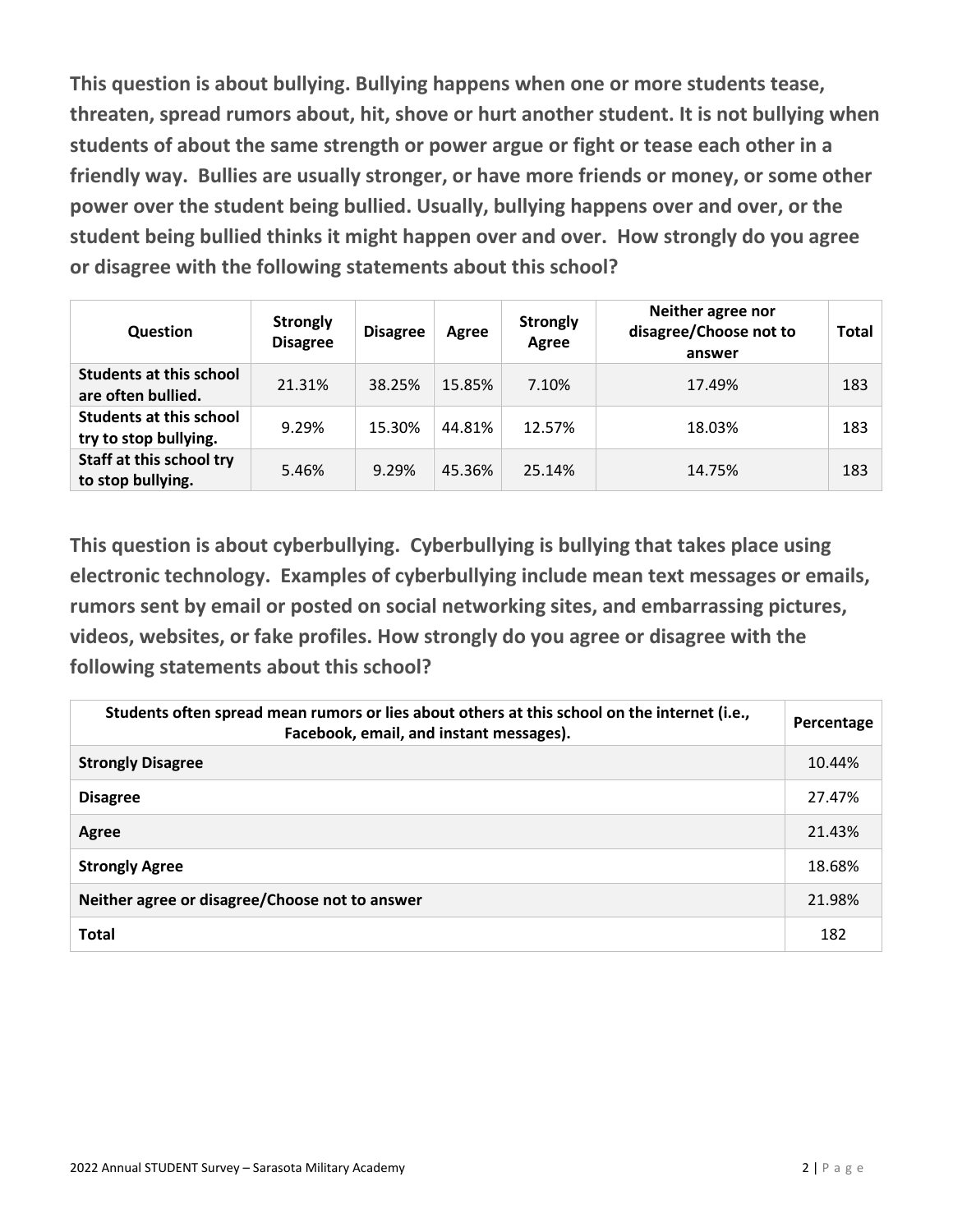**This question is about bullying. Bullying happens when one or more students tease, threaten, spread rumors about, hit, shove or hurt another student. It is not bullying when students of about the same strength or power argue or fight or tease each other in a friendly way. Bullies are usually stronger, or have more friends or money, or some other power over the student being bullied. Usually, bullying happens over and over, or the student being bullied thinks it might happen over and over. How strongly do you agree or disagree with the following statements about this school?** 

| Question                                                | <b>Strongly</b><br><b>Disagree</b> | <b>Disagree</b> | Agree  | <b>Strongly</b><br>Agree | Neither agree nor<br>disagree/Choose not to<br>answer | <b>Total</b> |
|---------------------------------------------------------|------------------------------------|-----------------|--------|--------------------------|-------------------------------------------------------|--------------|
| <b>Students at this school</b><br>are often bullied.    | 21.31%                             | 38.25%          | 15.85% | 7.10%                    | 17.49%                                                | 183          |
| <b>Students at this school</b><br>try to stop bullying. | 9.29%                              | 15.30%          | 44.81% | 12.57%                   | 18.03%                                                | 183          |
| Staff at this school try<br>to stop bullying.           | 5.46%                              | 9.29%           | 45.36% | 25.14%                   | 14.75%                                                | 183          |

**This question is about cyberbullying. Cyberbullying is bullying that takes place using electronic technology. Examples of cyberbullying include mean text messages or emails, rumors sent by email or posted on social networking sites, and embarrassing pictures, videos, websites, or fake profiles. How strongly do you agree or disagree with the following statements about this school?** 

| Students often spread mean rumors or lies about others at this school on the internet (i.e.,<br>Facebook, email, and instant messages). | Percentage |
|-----------------------------------------------------------------------------------------------------------------------------------------|------------|
| <b>Strongly Disagree</b>                                                                                                                | 10.44%     |
| <b>Disagree</b>                                                                                                                         | 27.47%     |
| Agree                                                                                                                                   | 21.43%     |
| <b>Strongly Agree</b>                                                                                                                   | 18.68%     |
| Neither agree or disagree/Choose not to answer                                                                                          | 21.98%     |
| <b>Total</b>                                                                                                                            | 182        |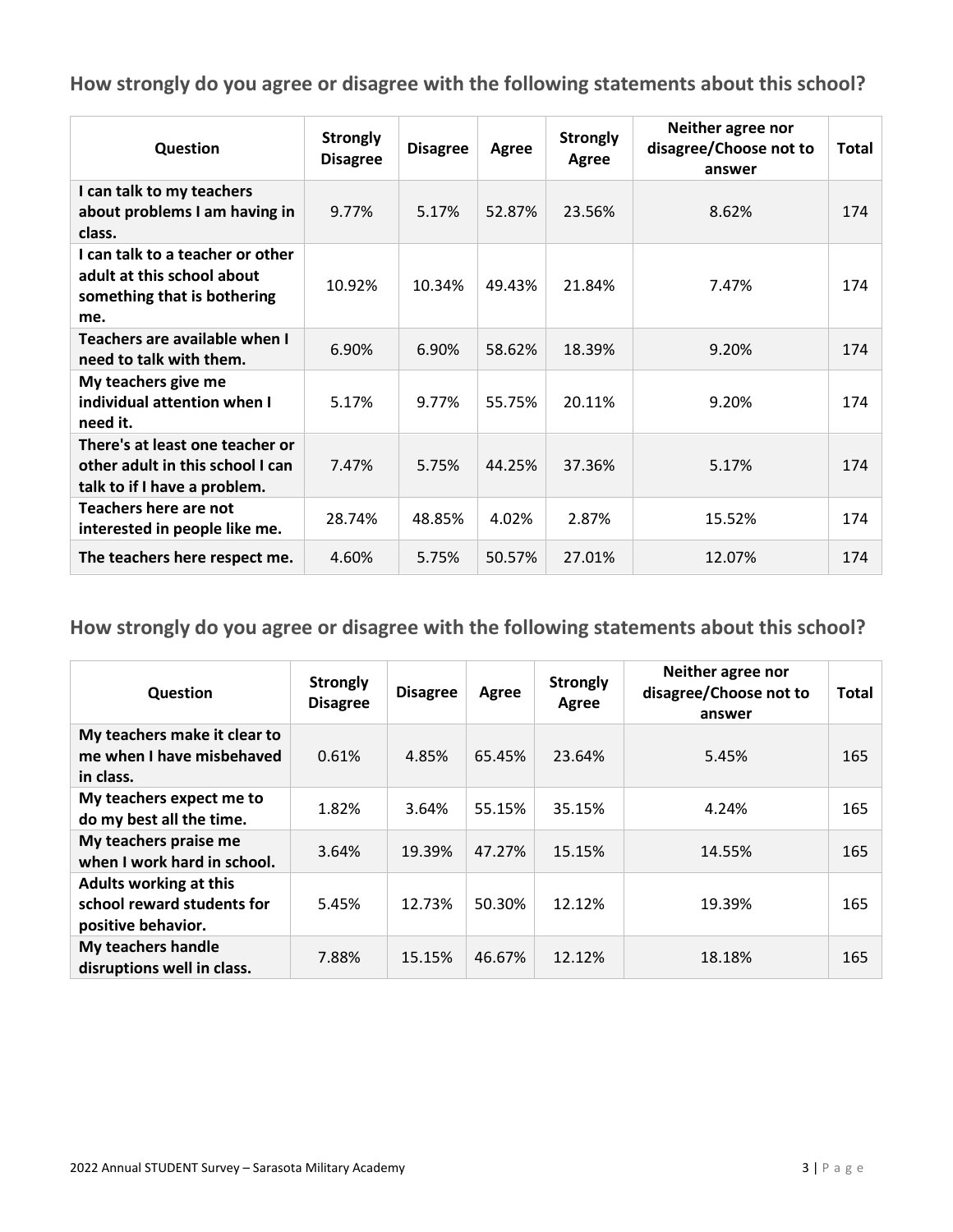| Question                                                                                             | <b>Strongly</b><br><b>Disagree</b> | <b>Disagree</b> | <b>Agree</b> | <b>Strongly</b><br>Agree | Neither agree nor<br>disagree/Choose not to<br>answer | Total |
|------------------------------------------------------------------------------------------------------|------------------------------------|-----------------|--------------|--------------------------|-------------------------------------------------------|-------|
| I can talk to my teachers<br>about problems I am having in<br>class.                                 | 9.77%                              | 5.17%           | 52.87%       | 23.56%                   | 8.62%                                                 | 174   |
| I can talk to a teacher or other<br>adult at this school about<br>something that is bothering<br>me. | 10.92%                             | 10.34%          | 49.43%       | 21.84%                   | 7.47%                                                 | 174   |
| Teachers are available when I<br>need to talk with them.                                             | 6.90%                              | 6.90%           | 58.62%       | 18.39%                   | 9.20%                                                 | 174   |
| My teachers give me<br>individual attention when I<br>need it.                                       | 5.17%                              | 9.77%           | 55.75%       | 20.11%                   | 9.20%                                                 | 174   |
| There's at least one teacher or<br>other adult in this school I can<br>talk to if I have a problem.  | 7.47%                              | 5.75%           | 44.25%       | 37.36%                   | 5.17%                                                 | 174   |
| Teachers here are not<br>interested in people like me.                                               | 28.74%                             | 48.85%          | 4.02%        | 2.87%                    | 15.52%                                                | 174   |
| The teachers here respect me.                                                                        | 4.60%                              | 5.75%           | 50.57%       | 27.01%                   | 12.07%                                                | 174   |

| Question                                                                          | <b>Strongly</b><br><b>Disagree</b> | <b>Disagree</b> | Agree  | <b>Strongly</b><br>Agree | Neither agree nor<br>disagree/Choose not to<br>answer | <b>Total</b> |
|-----------------------------------------------------------------------------------|------------------------------------|-----------------|--------|--------------------------|-------------------------------------------------------|--------------|
| My teachers make it clear to<br>me when I have misbehaved<br>in class.            | 0.61%                              | 4.85%           | 65.45% | 23.64%                   | 5.45%                                                 | 165          |
| My teachers expect me to<br>do my best all the time.                              | 1.82%                              | 3.64%           | 55.15% | 35.15%                   | 4.24%                                                 | 165          |
| My teachers praise me<br>when I work hard in school.                              | 3.64%                              | 19.39%          | 47.27% | 15.15%                   | 14.55%                                                | 165          |
| <b>Adults working at this</b><br>school reward students for<br>positive behavior. | 5.45%                              | 12.73%          | 50.30% | 12.12%                   | 19.39%                                                | 165          |
| My teachers handle<br>disruptions well in class.                                  | 7.88%                              | 15.15%          | 46.67% | 12.12%                   | 18.18%                                                | 165          |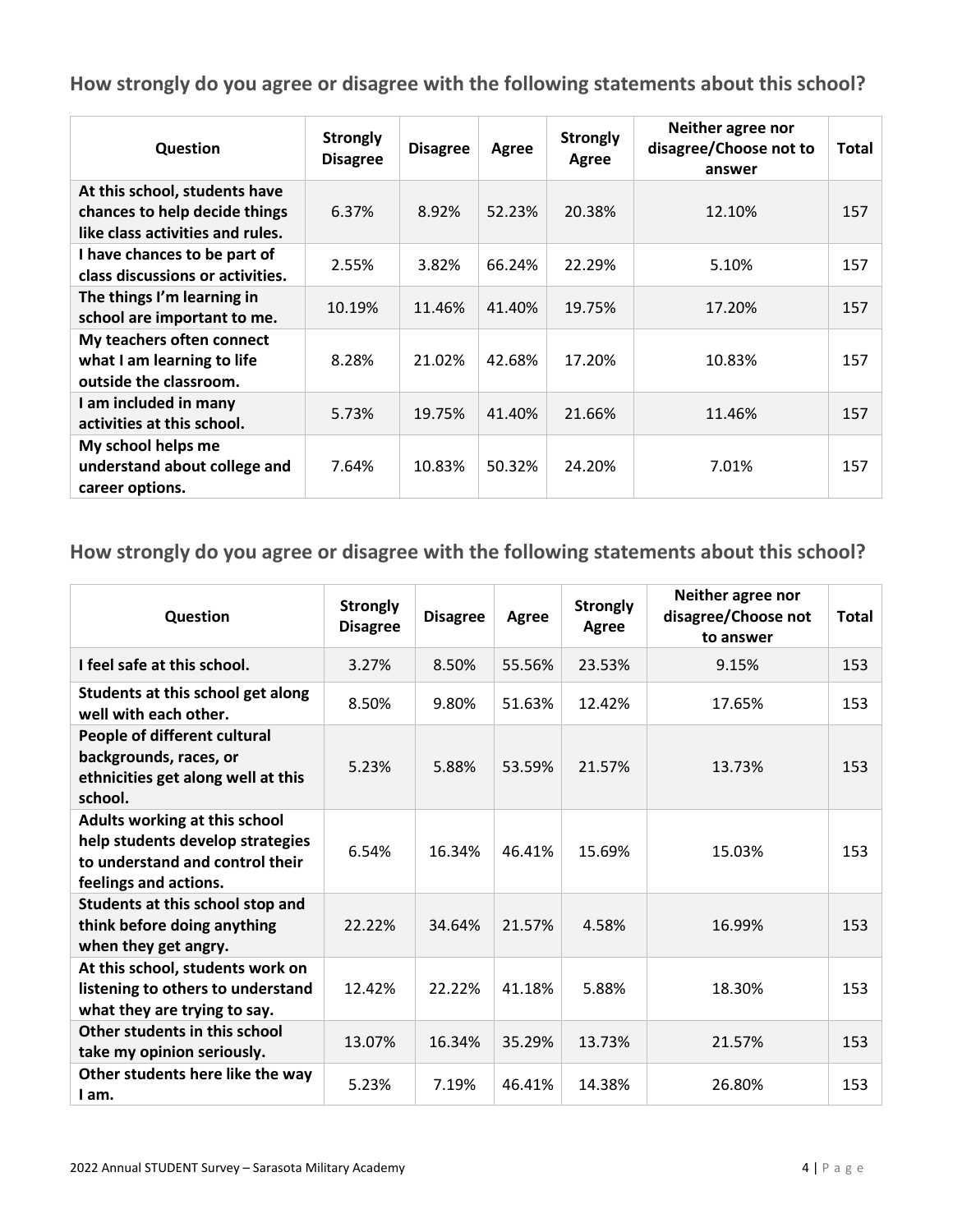| Question                                                                                           | <b>Strongly</b><br><b>Disagree</b> | <b>Disagree</b> | Agree  | <b>Strongly</b><br>Agree | Neither agree nor<br>disagree/Choose not to<br>answer | Total |
|----------------------------------------------------------------------------------------------------|------------------------------------|-----------------|--------|--------------------------|-------------------------------------------------------|-------|
| At this school, students have<br>chances to help decide things<br>like class activities and rules. | 6.37%                              | 8.92%           | 52.23% | 20.38%                   | 12.10%                                                | 157   |
| I have chances to be part of<br>class discussions or activities.                                   | 2.55%                              | 3.82%           | 66.24% | 22.29%                   | 5.10%                                                 | 157   |
| The things I'm learning in<br>school are important to me.                                          | 10.19%                             | 11.46%          | 41.40% | 19.75%                   | 17.20%                                                | 157   |
| My teachers often connect<br>what I am learning to life<br>outside the classroom.                  | 8.28%                              | 21.02%          | 42.68% | 17.20%                   | 10.83%                                                | 157   |
| I am included in many<br>activities at this school.                                                | 5.73%                              | 19.75%          | 41.40% | 21.66%                   | 11.46%                                                | 157   |
| My school helps me<br>understand about college and<br>career options.                              | 7.64%                              | 10.83%          | 50.32% | 24.20%                   | 7.01%                                                 | 157   |

| Question                                                                                                                      | <b>Strongly</b><br><b>Disagree</b> | <b>Disagree</b> | Agree  | <b>Strongly</b><br>Agree | Neither agree nor<br>disagree/Choose not<br>to answer | Total |
|-------------------------------------------------------------------------------------------------------------------------------|------------------------------------|-----------------|--------|--------------------------|-------------------------------------------------------|-------|
| I feel safe at this school.                                                                                                   | 3.27%                              | 8.50%           | 55.56% | 23.53%                   | 9.15%                                                 | 153   |
| Students at this school get along<br>well with each other.                                                                    | 8.50%                              | 9.80%           | 51.63% | 12.42%                   | 17.65%                                                | 153   |
| People of different cultural<br>backgrounds, races, or<br>ethnicities get along well at this<br>school.                       | 5.23%                              | 5.88%           | 53.59% | 21.57%                   | 13.73%                                                | 153   |
| Adults working at this school<br>help students develop strategies<br>to understand and control their<br>feelings and actions. | 6.54%                              | 16.34%          | 46.41% | 15.69%                   | 15.03%                                                | 153   |
| Students at this school stop and<br>think before doing anything<br>when they get angry.                                       | 22.22%                             | 34.64%          | 21.57% | 4.58%                    | 16.99%                                                | 153   |
| At this school, students work on<br>listening to others to understand<br>what they are trying to say.                         | 12.42%                             | 22.22%          | 41.18% | 5.88%                    | 18.30%                                                | 153   |
| Other students in this school<br>take my opinion seriously.                                                                   | 13.07%                             | 16.34%          | 35.29% | 13.73%                   | 21.57%                                                | 153   |
| Other students here like the way<br>I am.                                                                                     | 5.23%                              | 7.19%           | 46.41% | 14.38%                   | 26.80%                                                | 153   |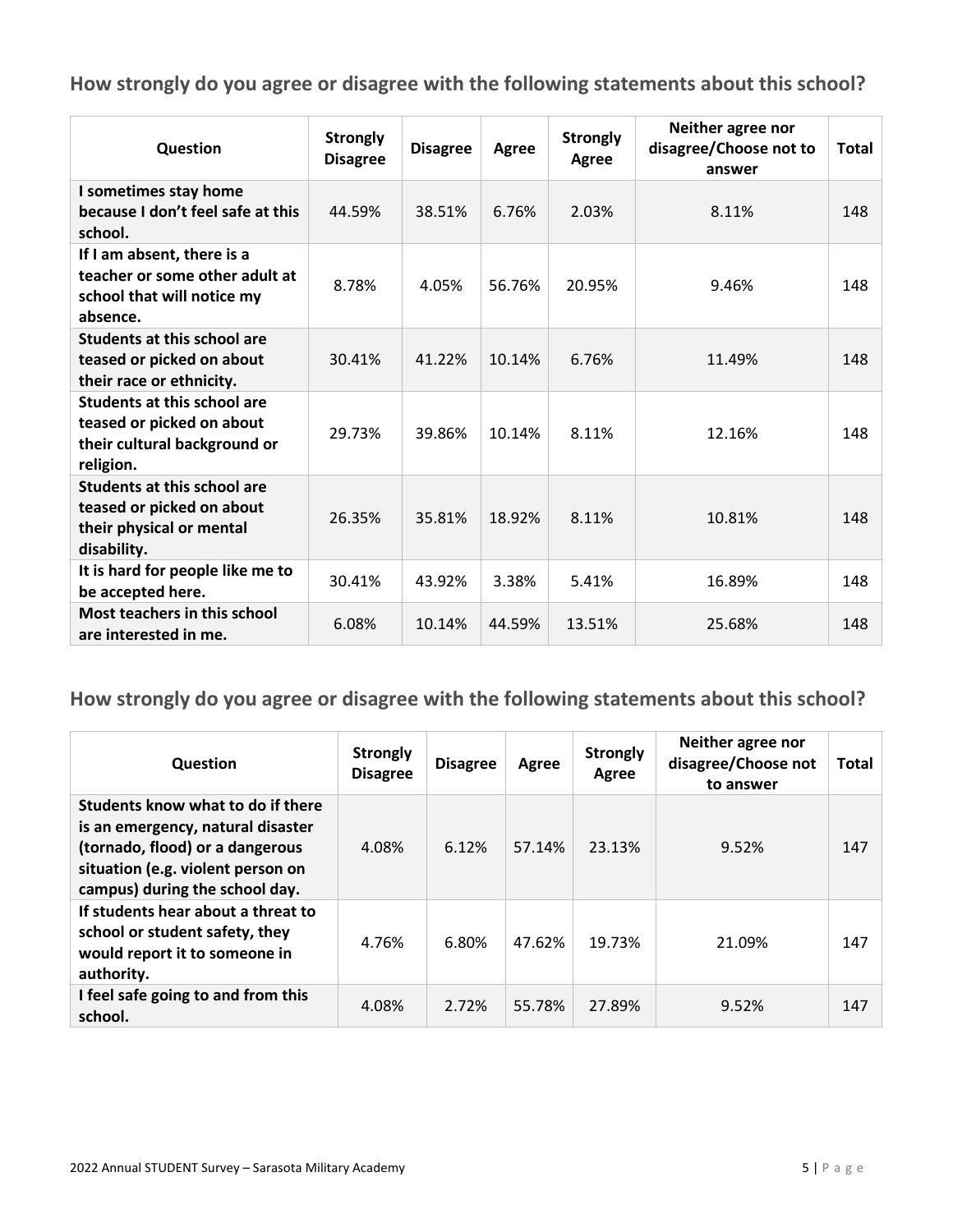| Question                                                                                                     | <b>Strongly</b><br><b>Disagree</b> | <b>Disagree</b> | Agree  | <b>Strongly</b><br>Agree | Neither agree nor<br>disagree/Choose not to<br>answer | <b>Total</b> |
|--------------------------------------------------------------------------------------------------------------|------------------------------------|-----------------|--------|--------------------------|-------------------------------------------------------|--------------|
| I sometimes stay home<br>because I don't feel safe at this<br>school.                                        | 44.59%                             | 38.51%          | 6.76%  | 2.03%                    | 8.11%                                                 | 148          |
| If I am absent, there is a<br>teacher or some other adult at<br>school that will notice my<br>absence.       | 8.78%                              | 4.05%           | 56.76% | 20.95%                   | 9.46%                                                 | 148          |
| Students at this school are<br>teased or picked on about<br>their race or ethnicity.                         | 30.41%                             | 41.22%          | 10.14% | 6.76%                    | 11.49%                                                | 148          |
| <b>Students at this school are</b><br>teased or picked on about<br>their cultural background or<br>religion. | 29.73%                             | 39.86%          | 10.14% | 8.11%                    | 12.16%                                                | 148          |
| <b>Students at this school are</b><br>teased or picked on about<br>their physical or mental<br>disability.   | 26.35%                             | 35.81%          | 18.92% | 8.11%                    | 10.81%                                                | 148          |
| It is hard for people like me to<br>be accepted here.                                                        | 30.41%                             | 43.92%          | 3.38%  | 5.41%                    | 16.89%                                                | 148          |
| <b>Most teachers in this school</b><br>are interested in me.                                                 | 6.08%                              | 10.14%          | 44.59% | 13.51%                   | 25.68%                                                | 148          |

| Question                                                                                                                                                                         | <b>Strongly</b><br><b>Disagree</b> | <b>Disagree</b> | Agree  | <b>Strongly</b><br>Agree | Neither agree nor<br>disagree/Choose not<br>to answer | <b>Total</b> |
|----------------------------------------------------------------------------------------------------------------------------------------------------------------------------------|------------------------------------|-----------------|--------|--------------------------|-------------------------------------------------------|--------------|
| Students know what to do if there<br>is an emergency, natural disaster<br>(tornado, flood) or a dangerous<br>situation (e.g. violent person on<br>campus) during the school day. | 4.08%                              | 6.12%           | 57.14% | 23.13%                   | 9.52%                                                 | 147          |
| If students hear about a threat to<br>school or student safety, they<br>would report it to someone in<br>authority.                                                              | 4.76%                              | 6.80%           | 47.62% | 19.73%                   | 21.09%                                                | 147          |
| I feel safe going to and from this<br>school.                                                                                                                                    | 4.08%                              | 2.72%           | 55.78% | 27.89%                   | 9.52%                                                 | 147          |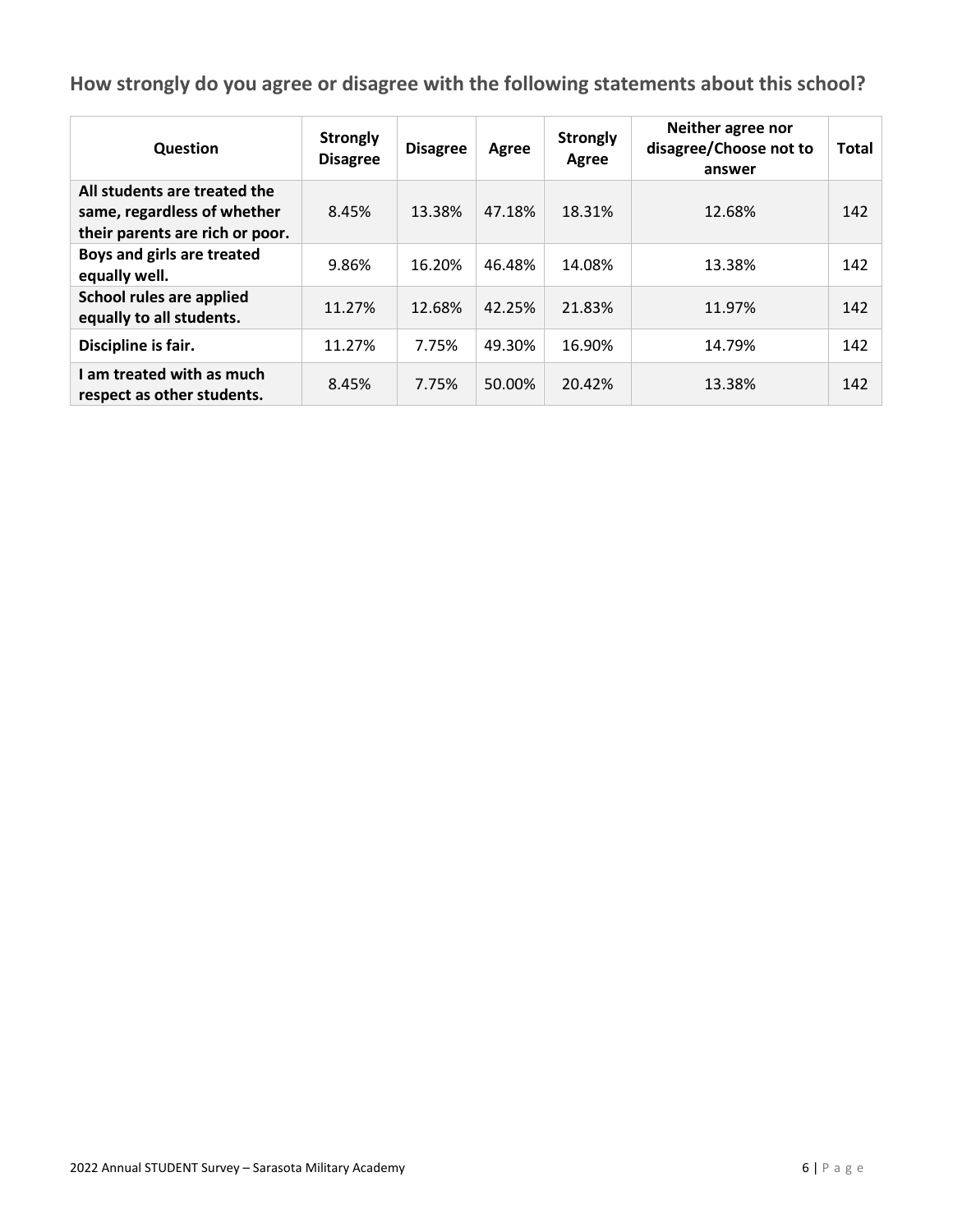| Question                                                                                       | <b>Strongly</b><br><b>Disagree</b> | <b>Disagree</b> | Agree  | <b>Strongly</b><br>Agree | Neither agree nor<br>disagree/Choose not to<br>answer | Total |
|------------------------------------------------------------------------------------------------|------------------------------------|-----------------|--------|--------------------------|-------------------------------------------------------|-------|
| All students are treated the<br>same, regardless of whether<br>their parents are rich or poor. | 8.45%                              | 13.38%          | 47.18% | 18.31%                   | 12.68%                                                | 142   |
| Boys and girls are treated<br>equally well.                                                    | 9.86%                              | 16.20%          | 46.48% | 14.08%                   | 13.38%                                                | 142   |
| School rules are applied<br>equally to all students.                                           | 11.27%                             | 12.68%          | 42.25% | 21.83%                   | 11.97%                                                | 142   |
| Discipline is fair.                                                                            | 11.27%                             | 7.75%           | 49.30% | 16.90%                   | 14.79%                                                | 142   |
| I am treated with as much<br>respect as other students.                                        | 8.45%                              | 7.75%           | 50.00% | 20.42%                   | 13.38%                                                | 142   |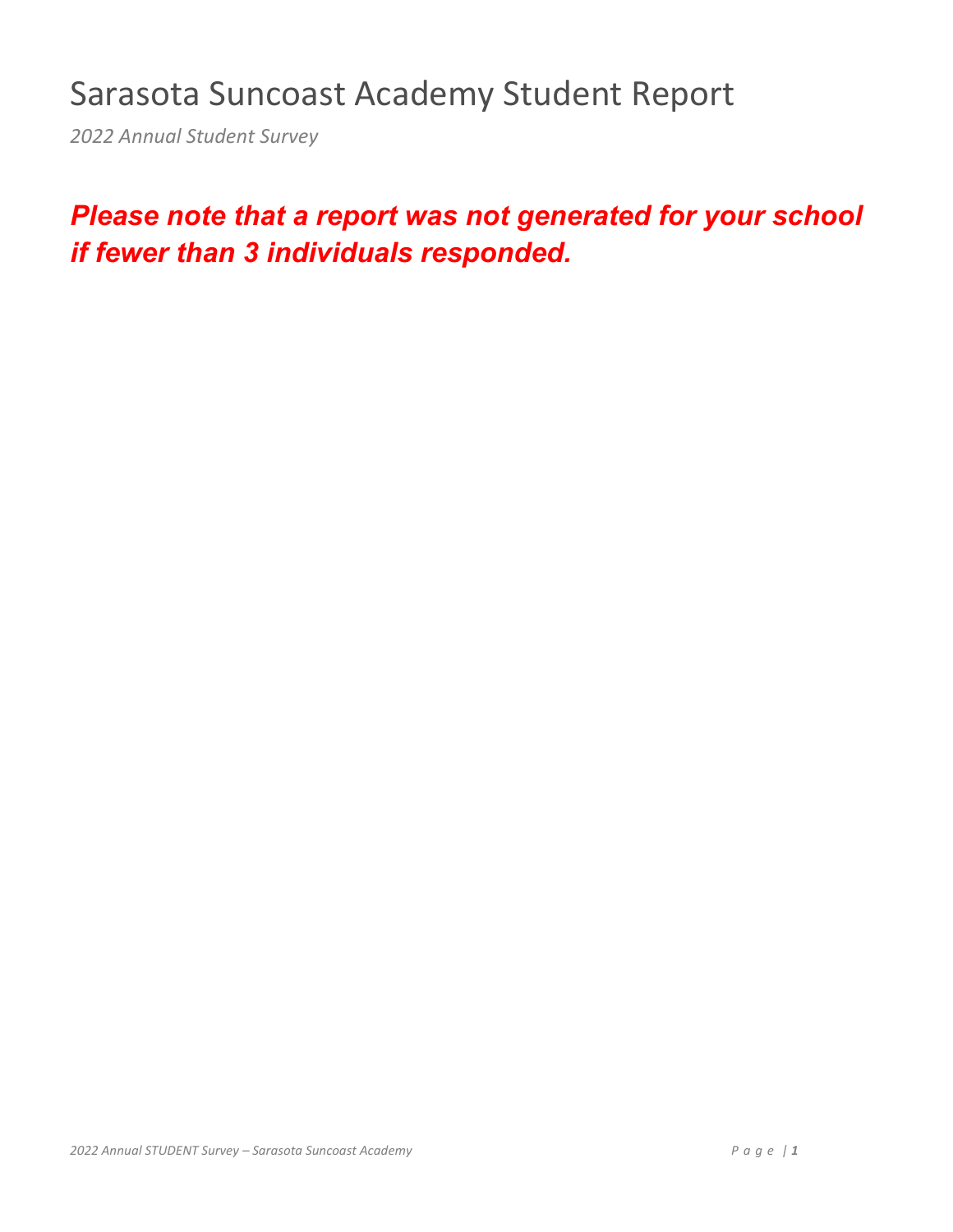## Sarasota Suncoast Academy Student Report

*2022 Annual Student Survey*

## *Please note that a report was not generated for your school if fewer than 3 individuals responded.*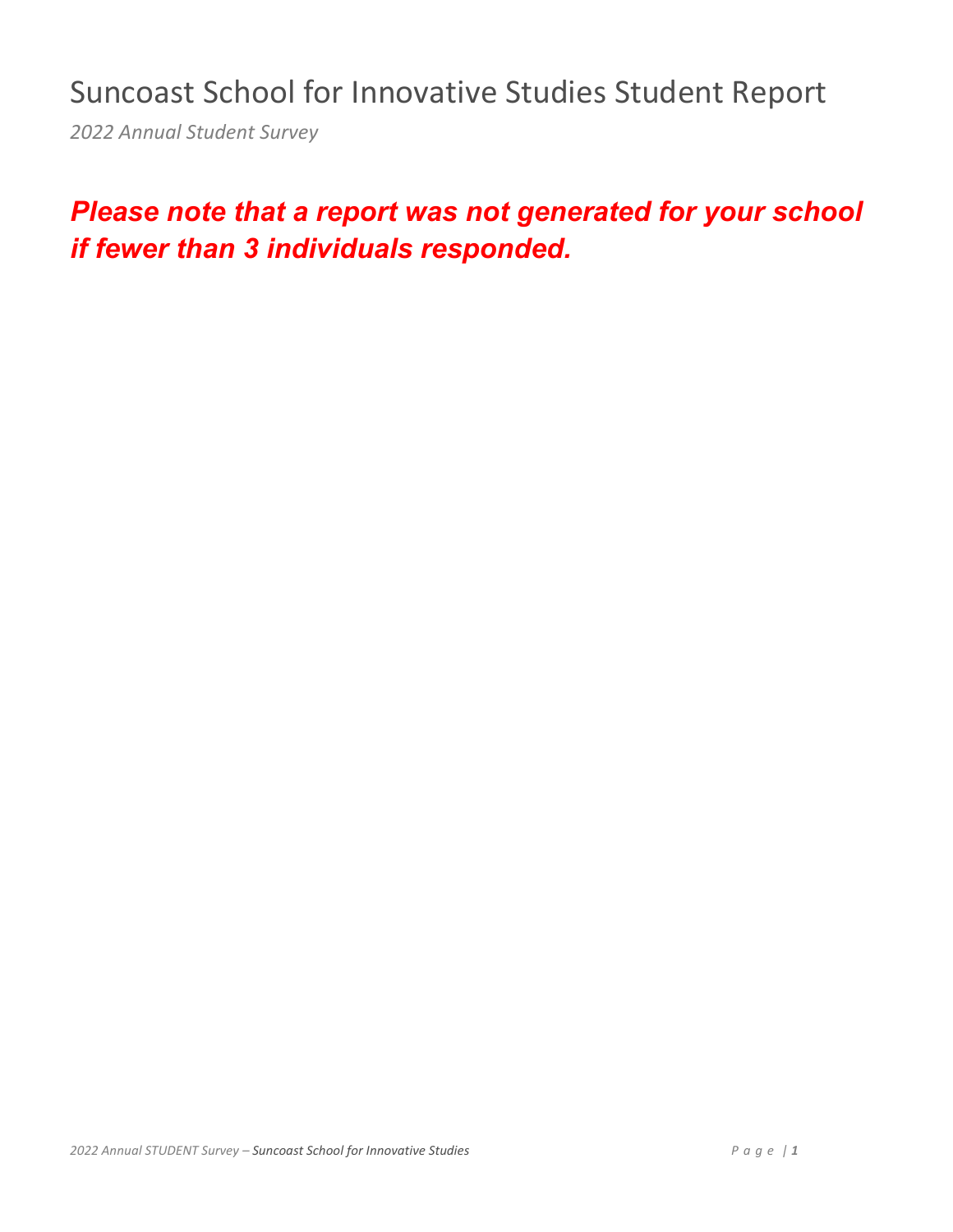Suncoast School for Innovative Studies Student Report

*2022 Annual Student Survey*

## *Please note that a report was not generated for your school if fewer than 3 individuals responded.*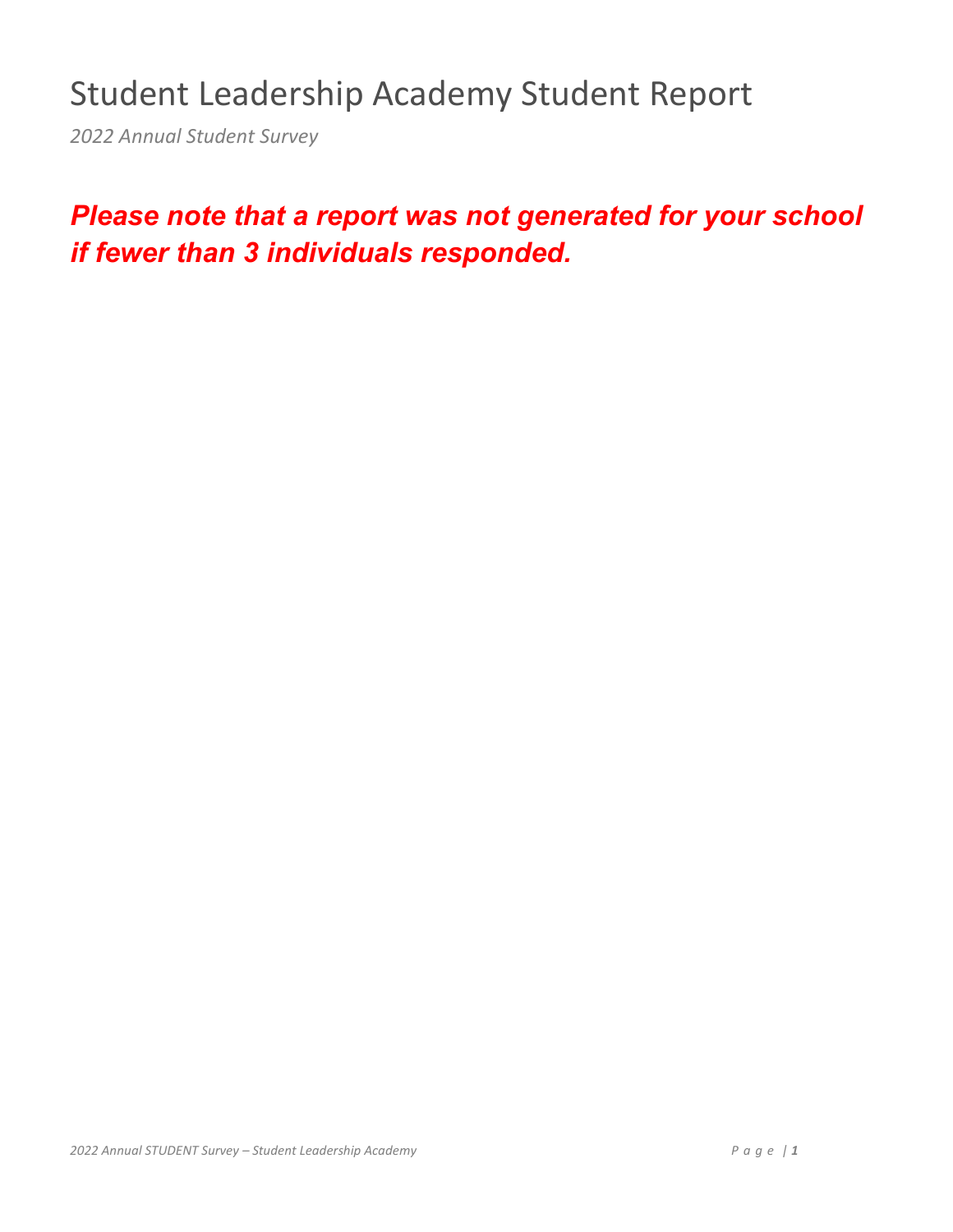## Student Leadership Academy Student Report

*2022 Annual Student Survey*

## *Please note that a report was not generated for your school if fewer than 3 individuals responded.*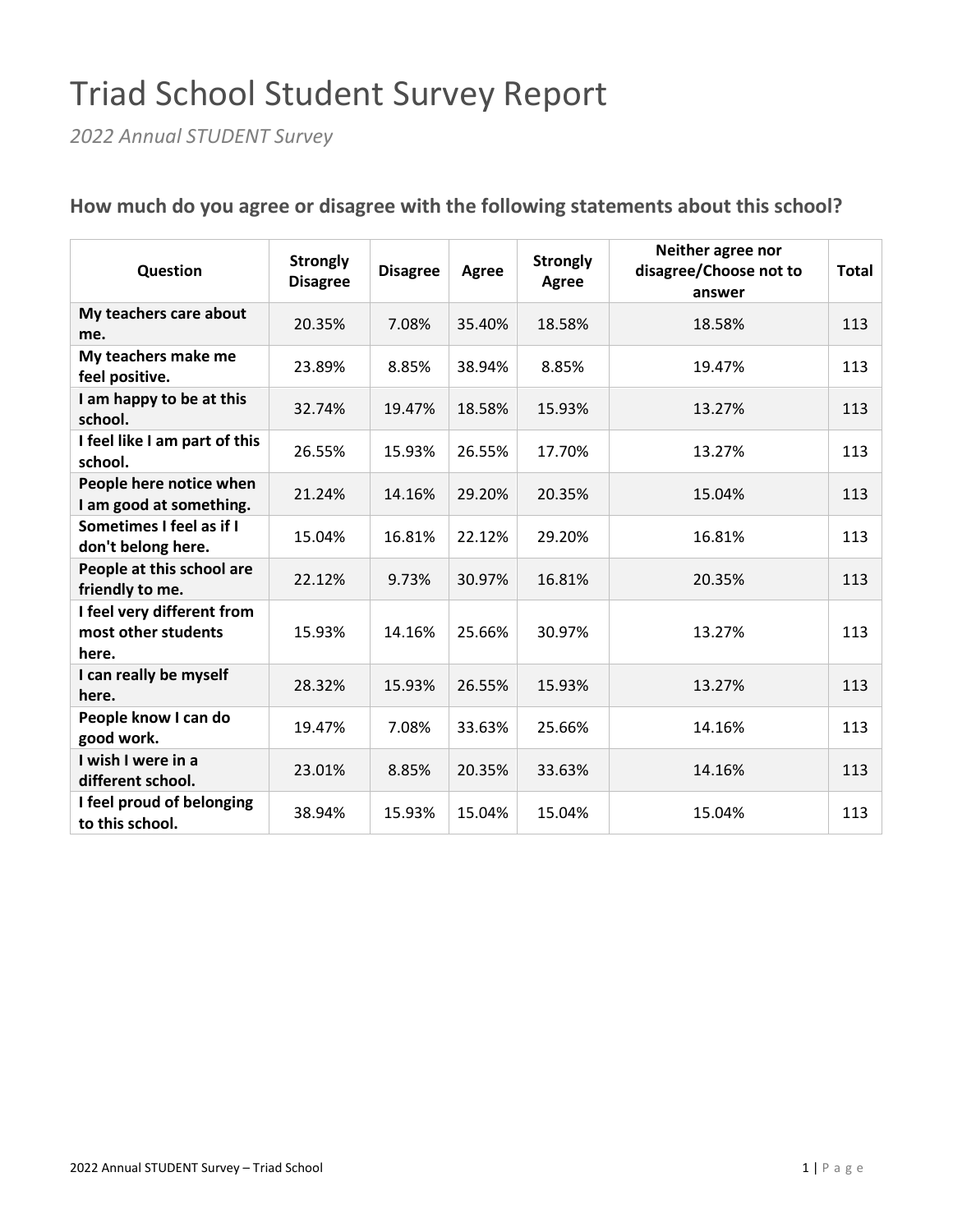# Triad School Student Survey Report

*2022 Annual STUDENT Survey*

| Question                                                   | <b>Strongly</b><br><b>Disagree</b> | <b>Disagree</b> | Agree  | <b>Strongly</b><br>Agree | Neither agree nor<br>disagree/Choose not to<br>answer | <b>Total</b> |
|------------------------------------------------------------|------------------------------------|-----------------|--------|--------------------------|-------------------------------------------------------|--------------|
| My teachers care about<br>me.                              | 20.35%                             | 7.08%           | 35.40% | 18.58%                   | 18.58%                                                | 113          |
| My teachers make me<br>feel positive.                      | 23.89%                             | 8.85%           | 38.94% | 8.85%                    | 19.47%                                                | 113          |
| I am happy to be at this<br>school.                        | 32.74%                             | 19.47%          | 18.58% | 15.93%                   | 13.27%                                                | 113          |
| I feel like I am part of this<br>school.                   | 26.55%                             | 15.93%          | 26.55% | 17.70%                   | 13.27%                                                | 113          |
| People here notice when<br>I am good at something.         | 21.24%                             | 14.16%          | 29.20% | 20.35%                   | 15.04%                                                | 113          |
| Sometimes I feel as if I<br>don't belong here.             | 15.04%                             | 16.81%          | 22.12% | 29.20%                   | 16.81%                                                | 113          |
| People at this school are<br>friendly to me.               | 22.12%                             | 9.73%           | 30.97% | 16.81%                   | 20.35%                                                | 113          |
| I feel very different from<br>most other students<br>here. | 15.93%                             | 14.16%          | 25.66% | 30.97%                   | 13.27%                                                | 113          |
| I can really be myself<br>here.                            | 28.32%                             | 15.93%          | 26.55% | 15.93%                   | 13.27%                                                | 113          |
| People know I can do<br>good work.                         | 19.47%                             | 7.08%           | 33.63% | 25.66%                   | 14.16%                                                | 113          |
| I wish I were in a<br>different school.                    | 23.01%                             | 8.85%           | 20.35% | 33.63%                   | 14.16%                                                | 113          |
| I feel proud of belonging<br>to this school.               | 38.94%                             | 15.93%          | 15.04% | 15.04%                   | 15.04%                                                | 113          |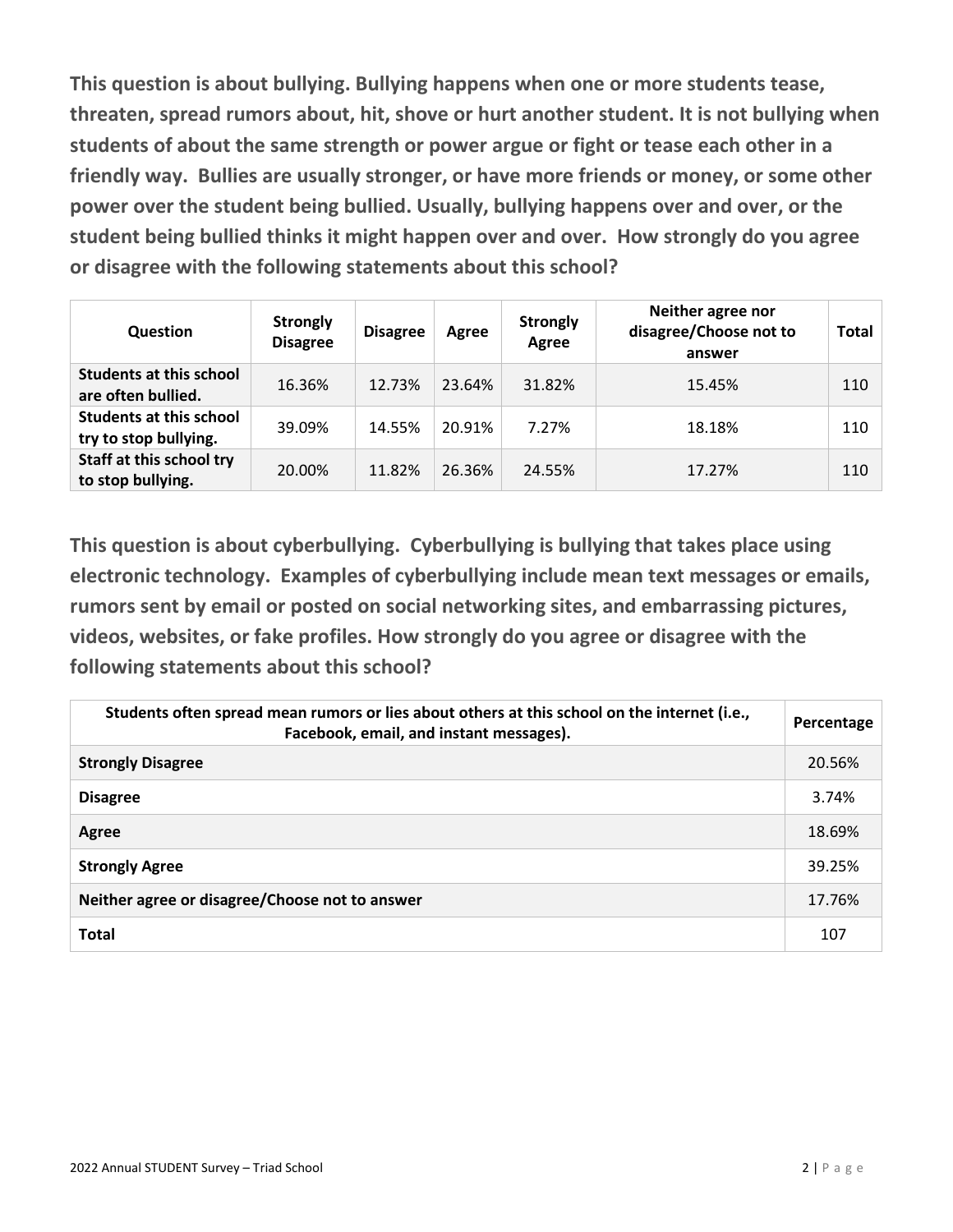**This question is about bullying. Bullying happens when one or more students tease, threaten, spread rumors about, hit, shove or hurt another student. It is not bullying when students of about the same strength or power argue or fight or tease each other in a friendly way. Bullies are usually stronger, or have more friends or money, or some other power over the student being bullied. Usually, bullying happens over and over, or the student being bullied thinks it might happen over and over. How strongly do you agree or disagree with the following statements about this school?** 

| Question                                                | <b>Strongly</b><br><b>Disagree</b> | <b>Disagree</b> | Agree  | <b>Strongly</b><br>Agree | Neither agree nor<br>disagree/Choose not to<br>answer | <b>Total</b> |
|---------------------------------------------------------|------------------------------------|-----------------|--------|--------------------------|-------------------------------------------------------|--------------|
| <b>Students at this school</b><br>are often bullied.    | 16.36%                             | 12.73%          | 23.64% | 31.82%                   | 15.45%                                                | 110          |
| <b>Students at this school</b><br>try to stop bullying. | 39.09%                             | 14.55%          | 20.91% | 7.27%                    | 18.18%                                                | 110          |
| Staff at this school try<br>to stop bullying.           | 20.00%                             | 11.82%          | 26.36% | 24.55%                   | 17.27%                                                | 110          |

**This question is about cyberbullying. Cyberbullying is bullying that takes place using electronic technology. Examples of cyberbullying include mean text messages or emails, rumors sent by email or posted on social networking sites, and embarrassing pictures, videos, websites, or fake profiles. How strongly do you agree or disagree with the following statements about this school?** 

| Students often spread mean rumors or lies about others at this school on the internet (i.e.,<br>Facebook, email, and instant messages). | Percentage |
|-----------------------------------------------------------------------------------------------------------------------------------------|------------|
| <b>Strongly Disagree</b>                                                                                                                | 20.56%     |
| <b>Disagree</b>                                                                                                                         | 3.74%      |
| Agree                                                                                                                                   | 18.69%     |
| <b>Strongly Agree</b>                                                                                                                   | 39.25%     |
| Neither agree or disagree/Choose not to answer                                                                                          | 17.76%     |
| <b>Total</b>                                                                                                                            | 107        |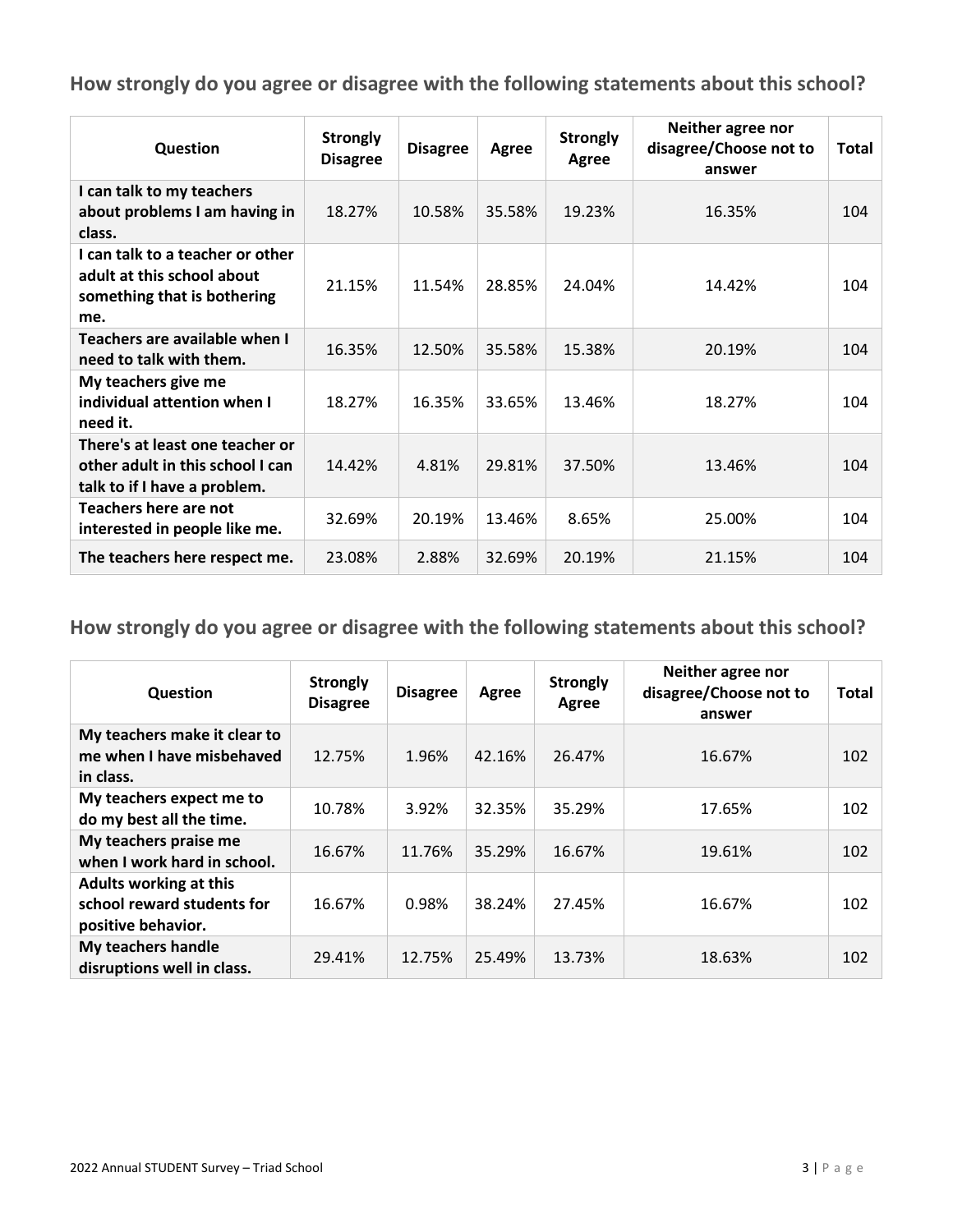| Question                                                                                             | <b>Strongly</b><br><b>Disagree</b> | <b>Disagree</b> | Agree  | <b>Strongly</b><br>Agree | Neither agree nor<br>disagree/Choose not to<br>answer | Total |
|------------------------------------------------------------------------------------------------------|------------------------------------|-----------------|--------|--------------------------|-------------------------------------------------------|-------|
| I can talk to my teachers<br>about problems I am having in<br>class.                                 | 18.27%                             | 10.58%          | 35.58% | 19.23%                   | 16.35%                                                | 104   |
| I can talk to a teacher or other<br>adult at this school about<br>something that is bothering<br>me. | 21.15%                             | 11.54%          | 28.85% | 24.04%                   | 14.42%                                                | 104   |
| Teachers are available when I<br>need to talk with them.                                             | 16.35%                             | 12.50%          | 35.58% | 15.38%                   | 20.19%                                                | 104   |
| My teachers give me<br>individual attention when I<br>need it.                                       | 18.27%                             | 16.35%          | 33.65% | 13.46%                   | 18.27%                                                | 104   |
| There's at least one teacher or<br>other adult in this school I can<br>talk to if I have a problem.  | 14.42%                             | 4.81%           | 29.81% | 37.50%                   | 13.46%                                                | 104   |
| Teachers here are not<br>interested in people like me.                                               | 32.69%                             | 20.19%          | 13.46% | 8.65%                    | 25.00%                                                | 104   |
| The teachers here respect me.                                                                        | 23.08%                             | 2.88%           | 32.69% | 20.19%                   | 21.15%                                                | 104   |

| Question                                                                          | <b>Strongly</b><br><b>Disagree</b> | <b>Disagree</b> | Agree  | <b>Strongly</b><br>Agree | Neither agree nor<br>disagree/Choose not to<br>answer | <b>Total</b> |
|-----------------------------------------------------------------------------------|------------------------------------|-----------------|--------|--------------------------|-------------------------------------------------------|--------------|
| My teachers make it clear to<br>me when I have misbehaved<br>in class.            | 12.75%                             | 1.96%           | 42.16% | 26.47%                   | 16.67%                                                | 102          |
| My teachers expect me to<br>do my best all the time.                              | 10.78%                             | 3.92%           | 32.35% | 35.29%                   | 17.65%                                                | 102          |
| My teachers praise me<br>when I work hard in school.                              | 16.67%                             | 11.76%          | 35.29% | 16.67%                   | 19.61%                                                | 102          |
| <b>Adults working at this</b><br>school reward students for<br>positive behavior. | 16.67%                             | 0.98%           | 38.24% | 27.45%                   | 16.67%                                                | 102          |
| My teachers handle<br>disruptions well in class.                                  | 29.41%                             | 12.75%          | 25.49% | 13.73%                   | 18.63%                                                | 102          |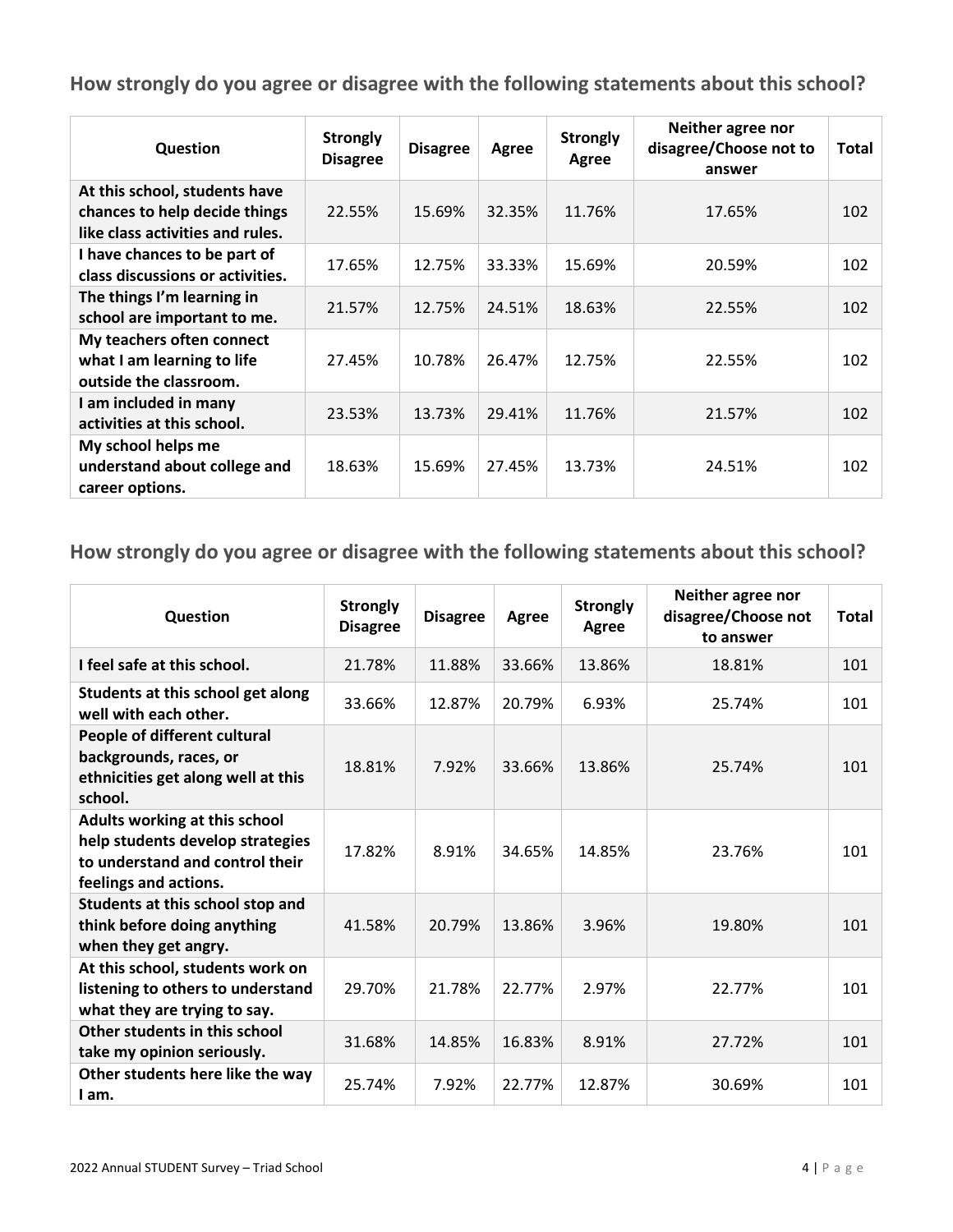| Question                                                                                           | <b>Strongly</b><br><b>Disagree</b> | <b>Disagree</b> | Agree  | <b>Strongly</b><br>Agree | Neither agree nor<br>disagree/Choose not to<br>answer | Total |
|----------------------------------------------------------------------------------------------------|------------------------------------|-----------------|--------|--------------------------|-------------------------------------------------------|-------|
| At this school, students have<br>chances to help decide things<br>like class activities and rules. | 22.55%                             | 15.69%          | 32.35% | 11.76%                   | 17.65%                                                | 102   |
| I have chances to be part of<br>class discussions or activities.                                   | 17.65%                             | 12.75%          | 33.33% | 15.69%                   | 20.59%                                                | 102   |
| The things I'm learning in<br>school are important to me.                                          | 21.57%                             | 12.75%          | 24.51% | 18.63%                   | 22.55%                                                | 102   |
| My teachers often connect<br>what I am learning to life<br>outside the classroom.                  | 27.45%                             | 10.78%          | 26.47% | 12.75%                   | 22.55%                                                | 102   |
| I am included in many<br>activities at this school.                                                | 23.53%                             | 13.73%          | 29.41% | 11.76%                   | 21.57%                                                | 102   |
| My school helps me<br>understand about college and<br>career options.                              | 18.63%                             | 15.69%          | 27.45% | 13.73%                   | 24.51%                                                | 102   |

| Question                                                                                                                      | <b>Strongly</b><br><b>Disagree</b> | <b>Disagree</b> | Agree  | <b>Strongly</b><br>Agree | Neither agree nor<br>disagree/Choose not<br>to answer | Total |
|-------------------------------------------------------------------------------------------------------------------------------|------------------------------------|-----------------|--------|--------------------------|-------------------------------------------------------|-------|
| I feel safe at this school.                                                                                                   | 21.78%                             | 11.88%          | 33.66% | 13.86%                   | 18.81%                                                | 101   |
| Students at this school get along<br>well with each other.                                                                    | 33.66%                             | 12.87%          | 20.79% | 6.93%                    | 25.74%                                                | 101   |
| People of different cultural<br>backgrounds, races, or<br>ethnicities get along well at this<br>school.                       | 18.81%                             | 7.92%           | 33.66% | 13.86%                   | 25.74%                                                | 101   |
| Adults working at this school<br>help students develop strategies<br>to understand and control their<br>feelings and actions. | 17.82%                             | 8.91%           | 34.65% | 14.85%                   | 23.76%                                                | 101   |
| Students at this school stop and<br>think before doing anything<br>when they get angry.                                       | 41.58%                             | 20.79%          | 13.86% | 3.96%                    | 19.80%                                                | 101   |
| At this school, students work on<br>listening to others to understand<br>what they are trying to say.                         | 29.70%                             | 21.78%          | 22.77% | 2.97%                    | 22.77%                                                | 101   |
| Other students in this school<br>take my opinion seriously.                                                                   | 31.68%                             | 14.85%          | 16.83% | 8.91%                    | 27.72%                                                | 101   |
| Other students here like the way<br>I am.                                                                                     | 25.74%                             | 7.92%           | 22.77% | 12.87%                   | 30.69%                                                | 101   |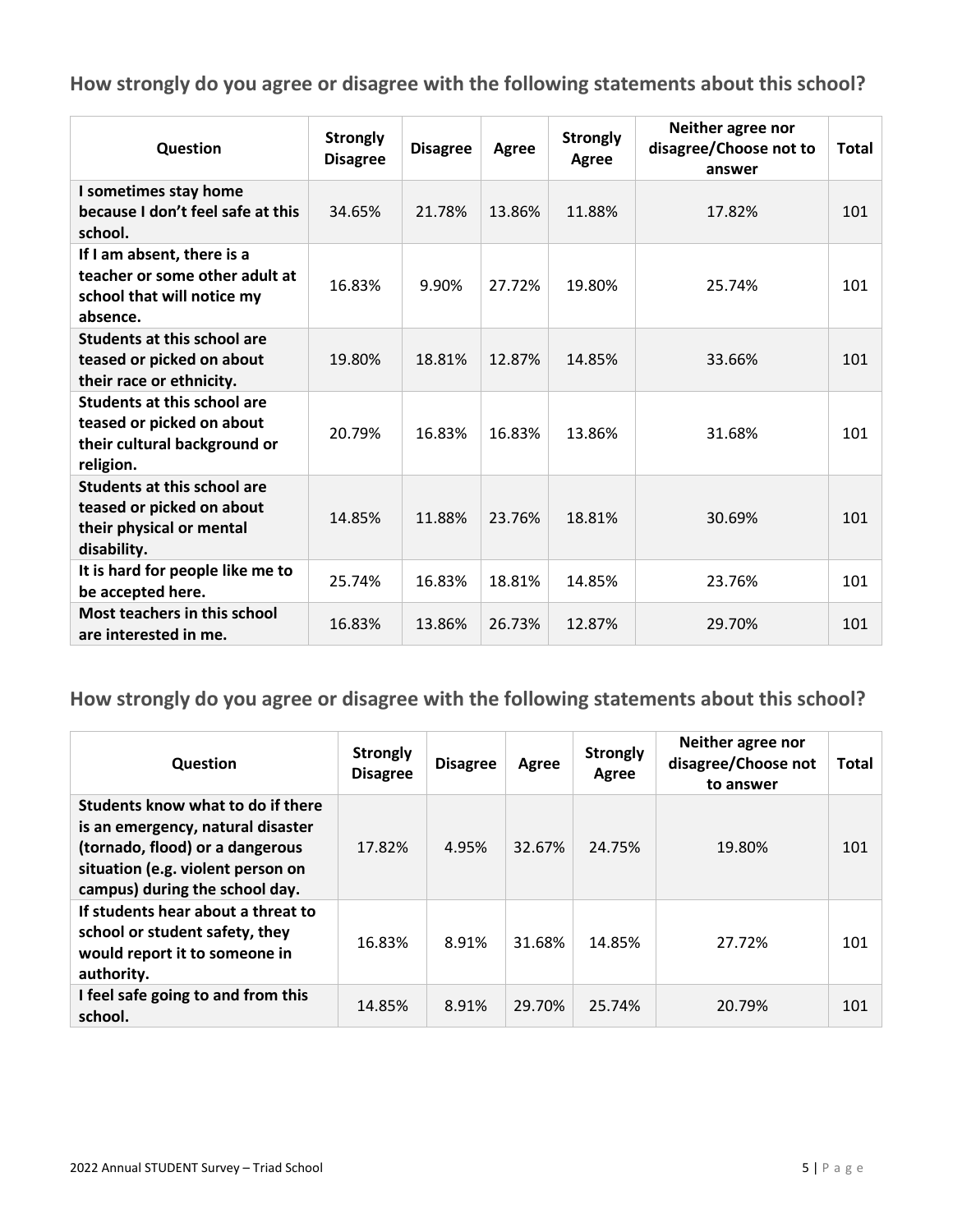| Question                                                                                                     | <b>Strongly</b><br><b>Disagree</b> | <b>Disagree</b> | Agree  | <b>Strongly</b><br>Agree | Neither agree nor<br>disagree/Choose not to<br>answer | Total |
|--------------------------------------------------------------------------------------------------------------|------------------------------------|-----------------|--------|--------------------------|-------------------------------------------------------|-------|
| I sometimes stay home<br>because I don't feel safe at this<br>school.                                        | 34.65%                             | 21.78%          | 13.86% | 11.88%                   | 17.82%                                                | 101   |
| If I am absent, there is a<br>teacher or some other adult at<br>school that will notice my<br>absence.       | 16.83%                             | 9.90%           | 27.72% | 19.80%                   | 25.74%                                                | 101   |
| <b>Students at this school are</b><br>teased or picked on about<br>their race or ethnicity.                  | 19.80%                             | 18.81%          | 12.87% | 14.85%                   | 33.66%                                                | 101   |
| <b>Students at this school are</b><br>teased or picked on about<br>their cultural background or<br>religion. | 20.79%                             | 16.83%          | 16.83% | 13.86%                   | 31.68%                                                | 101   |
| <b>Students at this school are</b><br>teased or picked on about<br>their physical or mental<br>disability.   | 14.85%                             | 11.88%          | 23.76% | 18.81%                   | 30.69%                                                | 101   |
| It is hard for people like me to<br>be accepted here.                                                        | 25.74%                             | 16.83%          | 18.81% | 14.85%                   | 23.76%                                                | 101   |
| <b>Most teachers in this school</b><br>are interested in me.                                                 | 16.83%                             | 13.86%          | 26.73% | 12.87%                   | 29.70%                                                | 101   |

| Question                                                                                                                                                                         | <b>Strongly</b><br><b>Disagree</b> | <b>Disagree</b> | Agree  | <b>Strongly</b><br>Agree | Neither agree nor<br>disagree/Choose not<br>to answer | Total |
|----------------------------------------------------------------------------------------------------------------------------------------------------------------------------------|------------------------------------|-----------------|--------|--------------------------|-------------------------------------------------------|-------|
| Students know what to do if there<br>is an emergency, natural disaster<br>(tornado, flood) or a dangerous<br>situation (e.g. violent person on<br>campus) during the school day. | 17.82%                             | 4.95%           | 32.67% | 24.75%                   | 19.80%                                                | 101   |
| If students hear about a threat to<br>school or student safety, they<br>would report it to someone in<br>authority.                                                              | 16.83%                             | 8.91%           | 31.68% | 14.85%                   | 27.72%                                                | 101   |
| I feel safe going to and from this<br>school.                                                                                                                                    | 14.85%                             | 8.91%           | 29.70% | 25.74%                   | 20.79%                                                | 101   |